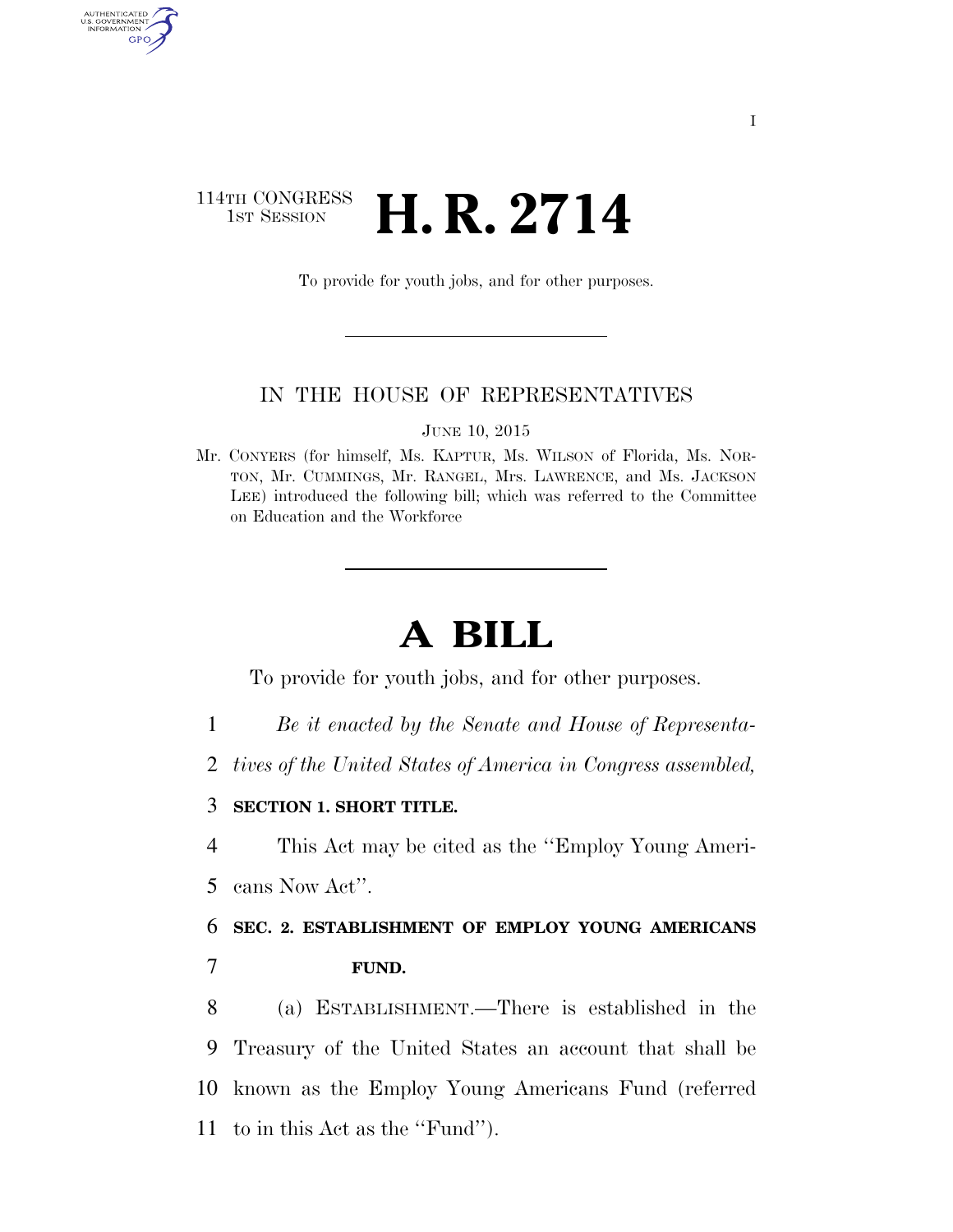### 114TH CONGRESS  $\frac{1}{15T}$  Session **H. R. 2714**

AUTHENTICATED<br>U.S. GOVERNMENT<br>INFORMATION

GPO

To provide for youth jobs, and for other purposes.

#### IN THE HOUSE OF REPRESENTATIVES

JUNE 10, 2015

Mr. CONYERS (for himself, Ms. KAPTUR, Ms. WILSON of Florida, Ms. NOR-TON, Mr. CUMMINGS, Mr. RANGEL, Mrs. LAWRENCE, and Ms. JACKSON LEE) introduced the following bill; which was referred to the Committee on Education and the Workforce

# **A BILL**

To provide for youth jobs, and for other purposes.

- 1 *Be it enacted by the Senate and House of Representa-*
- 2 *tives of the United States of America in Congress assembled,*
- 3 **SECTION 1. SHORT TITLE.**
- 4 This Act may be cited as the ''Employ Young Ameri-
- 5 cans Now Act''.

## 6 **SEC. 2. ESTABLISHMENT OF EMPLOY YOUNG AMERICANS**  7 **FUND.**

 (a) ESTABLISHMENT.—There is established in the Treasury of the United States an account that shall be known as the Employ Young Americans Fund (referred to in this Act as the ''Fund'').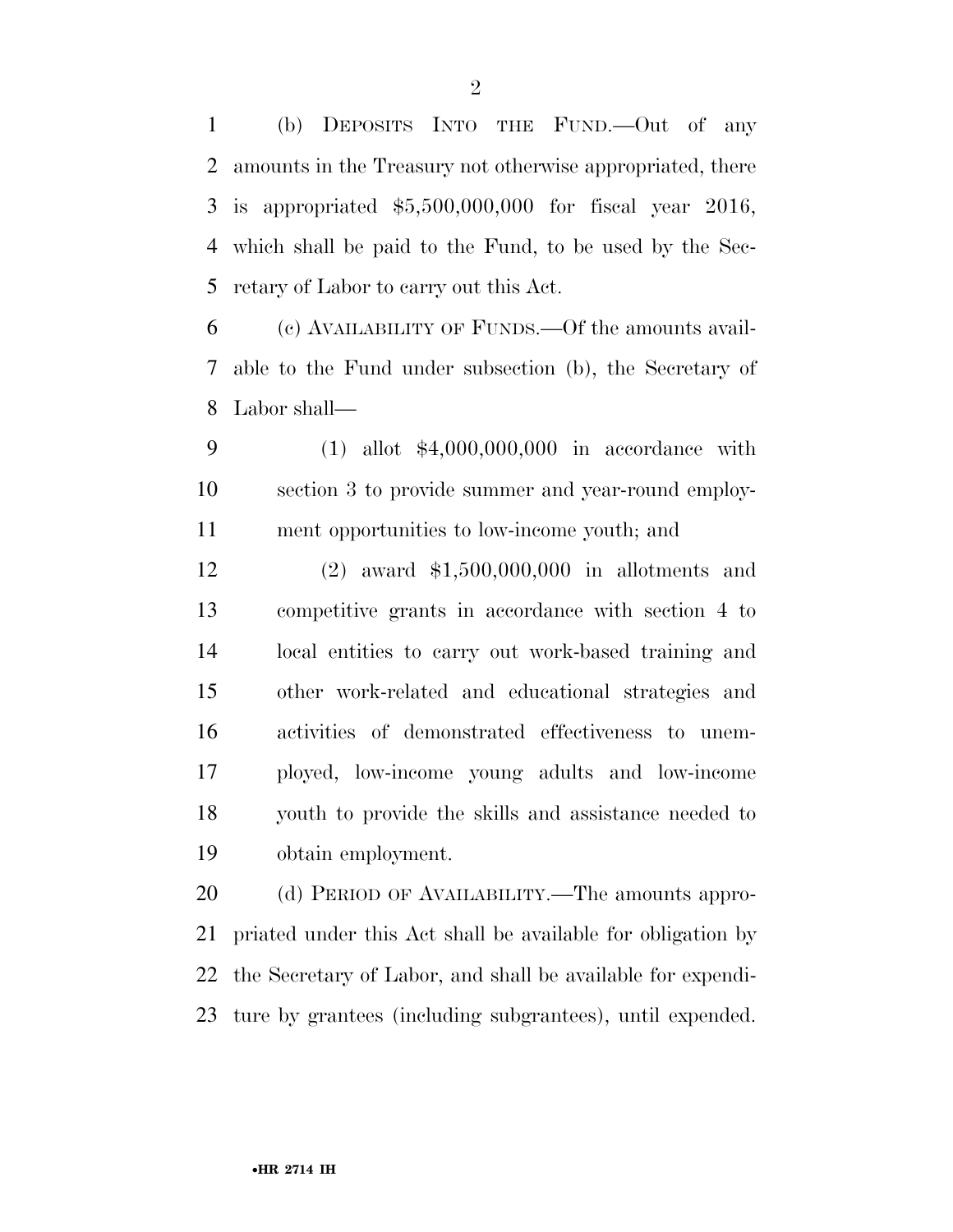(b) DEPOSITS INTO THE FUND.—Out of any amounts in the Treasury not otherwise appropriated, there is appropriated \$5,500,000,000 for fiscal year 2016, which shall be paid to the Fund, to be used by the Sec-retary of Labor to carry out this Act.

 (c) AVAILABILITY OF FUNDS.—Of the amounts avail- able to the Fund under subsection (b), the Secretary of Labor shall—

 (1) allot \$4,000,000,000 in accordance with section 3 to provide summer and year-round employ-ment opportunities to low-income youth; and

 (2) award \$1,500,000,000 in allotments and competitive grants in accordance with section 4 to local entities to carry out work-based training and other work-related and educational strategies and activities of demonstrated effectiveness to unem- ployed, low-income young adults and low-income youth to provide the skills and assistance needed to obtain employment.

20 (d) PERIOD OF AVAILABILITY.—The amounts appro- priated under this Act shall be available for obligation by the Secretary of Labor, and shall be available for expendi-ture by grantees (including subgrantees), until expended.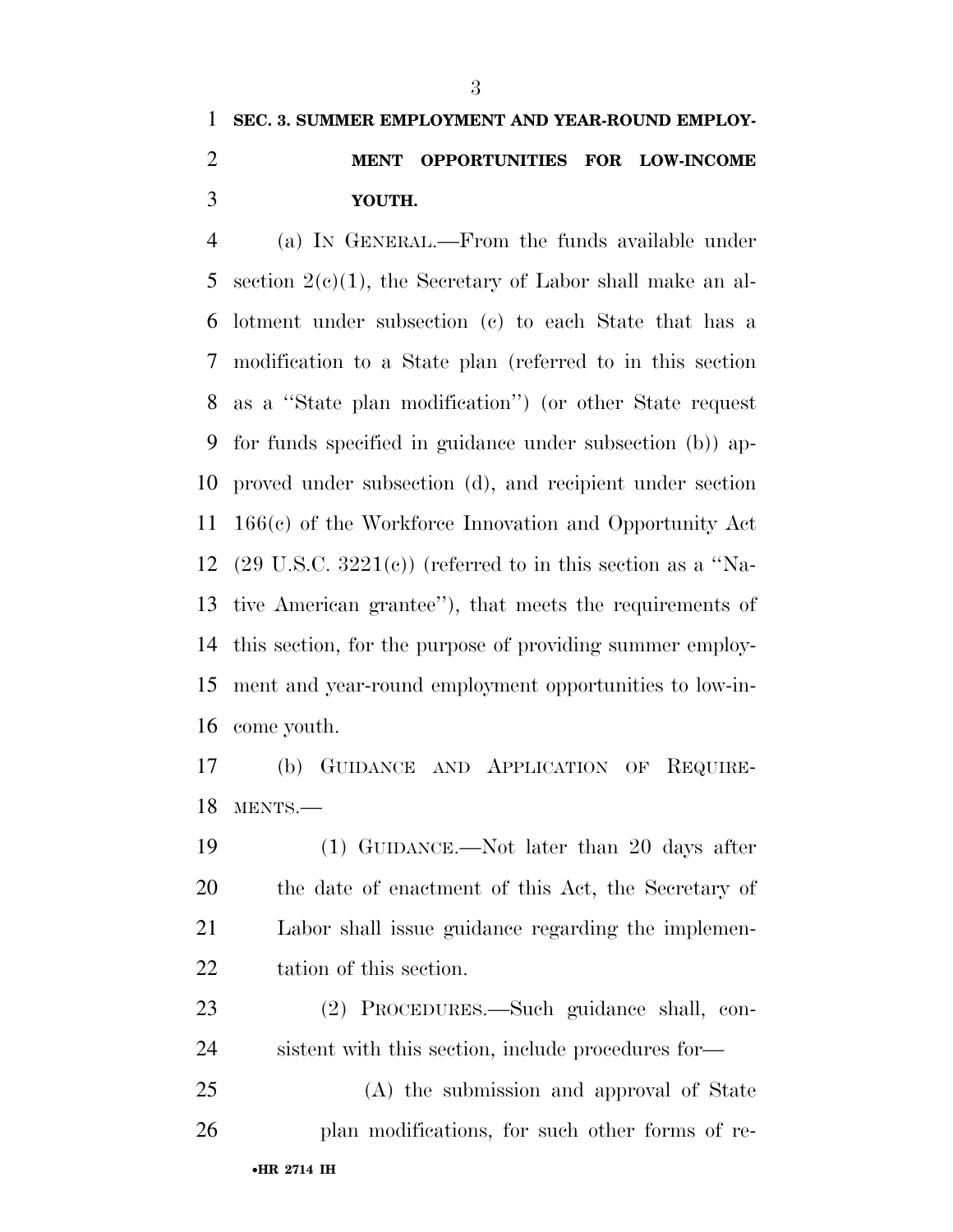#### **SEC. 3. SUMMER EMPLOYMENT AND YEAR-ROUND EMPLOY-**

## **MENT OPPORTUNITIES FOR LOW-INCOME YOUTH.**

 (a) IN GENERAL.—From the funds available under 5 section  $2(c)(1)$ , the Secretary of Labor shall make an al- lotment under subsection (c) to each State that has a modification to a State plan (referred to in this section as a ''State plan modification'') (or other State request for funds specified in guidance under subsection (b)) ap- proved under subsection (d), and recipient under section 166(c) of the Workforce Innovation and Opportunity Act 12 (29 U.S.C.  $3221(e)$ ) (referred to in this section as a "Na- tive American grantee''), that meets the requirements of this section, for the purpose of providing summer employ- ment and year-round employment opportunities to low-in-come youth.

 (b) GUIDANCE AND APPLICATION OF REQUIRE-MENTS.—

 (1) GUIDANCE.—Not later than 20 days after the date of enactment of this Act, the Secretary of Labor shall issue guidance regarding the implemen-tation of this section.

 (2) PROCEDURES.—Such guidance shall, con-sistent with this section, include procedures for—

 (A) the submission and approval of State plan modifications, for such other forms of re-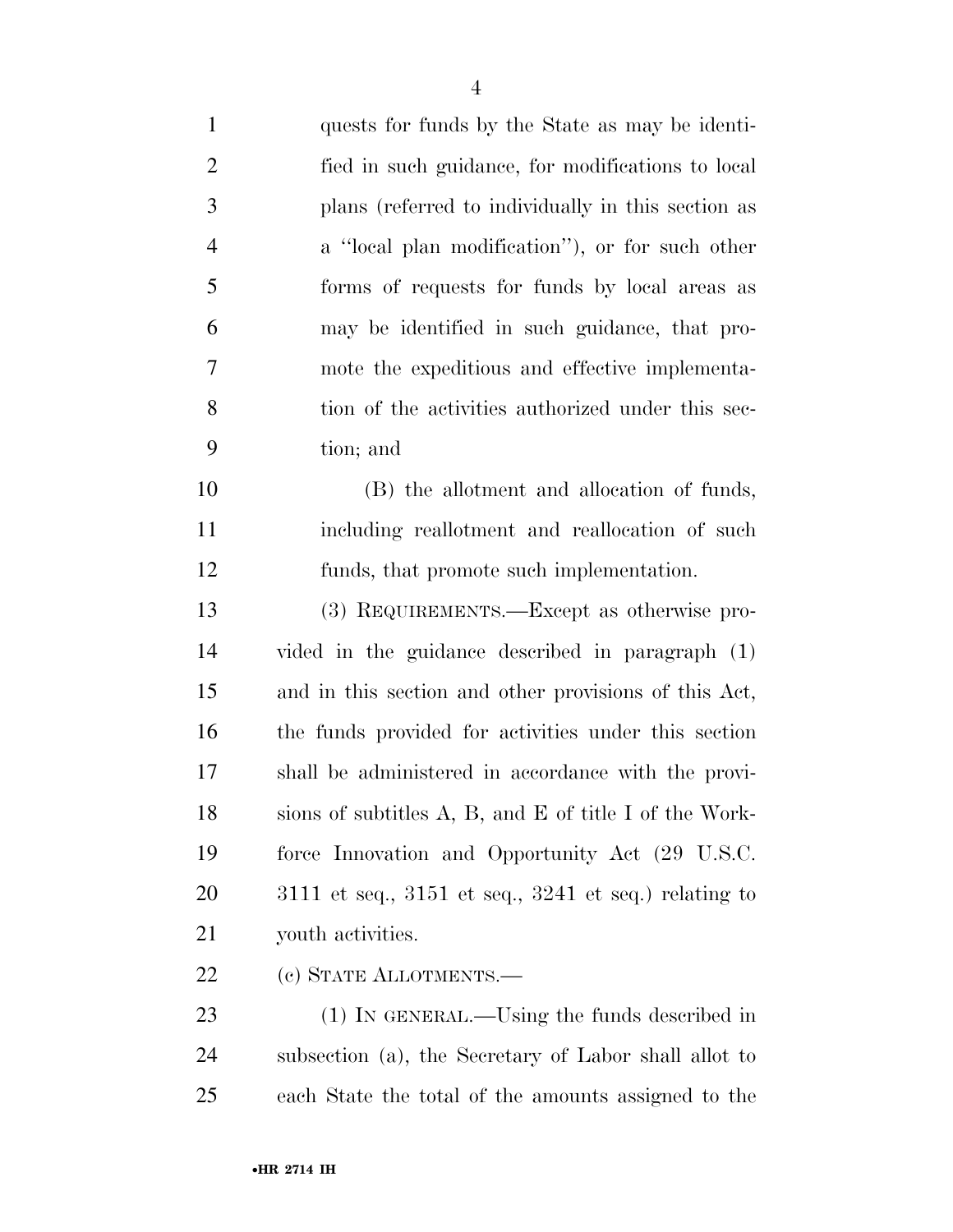| $\mathbf{1}$   | quests for funds by the State as may be identi-             |
|----------------|-------------------------------------------------------------|
| $\overline{2}$ | fied in such guidance, for modifications to local           |
| 3              | plans (referred to individually in this section as          |
| $\overline{4}$ | a "local plan modification"), or for such other             |
| 5              | forms of requests for funds by local areas as               |
| 6              | may be identified in such guidance, that pro-               |
| 7              | mote the expeditious and effective implementa-              |
| 8              | tion of the activities authorized under this sec-           |
| 9              | tion; and                                                   |
| 10             | (B) the allotment and allocation of funds,                  |
| 11             | including reallotment and reallocation of such              |
| 12             | funds, that promote such implementation.                    |
| 13             | (3) REQUIREMENTS.—Except as otherwise pro-                  |
| 14             | vided in the guidance described in paragraph (1)            |
| 15             | and in this section and other provisions of this Act,       |
| 16             | the funds provided for activities under this section        |
| 17             | shall be administered in accordance with the provi-         |
| 18             | sions of subtitles A, B, and E of title I of the Work-      |
| 19             | force Innovation and Opportunity Act (29 U.S.C.             |
| 20             | $3111$ et seq., $3151$ et seq., $3241$ et seq.) relating to |
| 21             | youth activities.                                           |
| 22             | (c) STATE ALLOTMENTS.—                                      |
| 23             | $(1)$ In GENERAL.—Using the funds described in              |
| 24             | subsection (a), the Secretary of Labor shall allot to       |

each State the total of the amounts assigned to the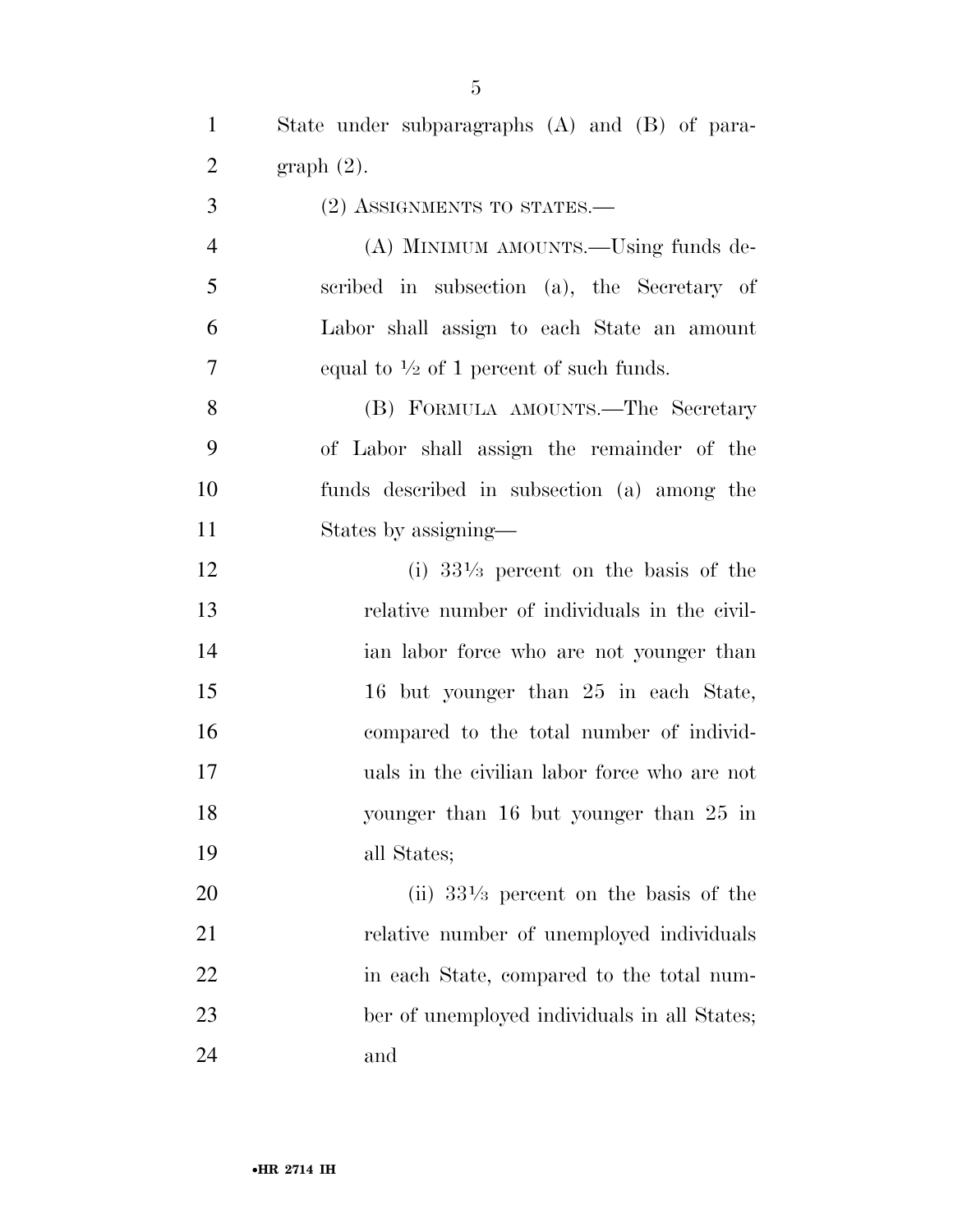State under subparagraphs (A) and (B) of para-graph (2).

(2) ASSIGNMENTS TO STATES.—

 (A) MINIMUM AMOUNTS.—Using funds de- scribed in subsection (a), the Secretary of Labor shall assign to each State an amount 7 equal to  $\frac{1}{2}$  of 1 percent of such funds.

 (B) FORMULA AMOUNTS.—The Secretary of Labor shall assign the remainder of the funds described in subsection (a) among the States by assigning—

 (i)  $33\frac{1}{3}$  percent on the basis of the relative number of individuals in the civil- ian labor force who are not younger than 16 but younger than 25 in each State, compared to the total number of individ- uals in the civilian labor force who are not younger than 16 but younger than 25 in all States;

20  $(iii)$   $33\frac{1}{3}$  percent on the basis of the 21 relative number of unemployed individuals 22 in each State, compared to the total num- ber of unemployed individuals in all States; and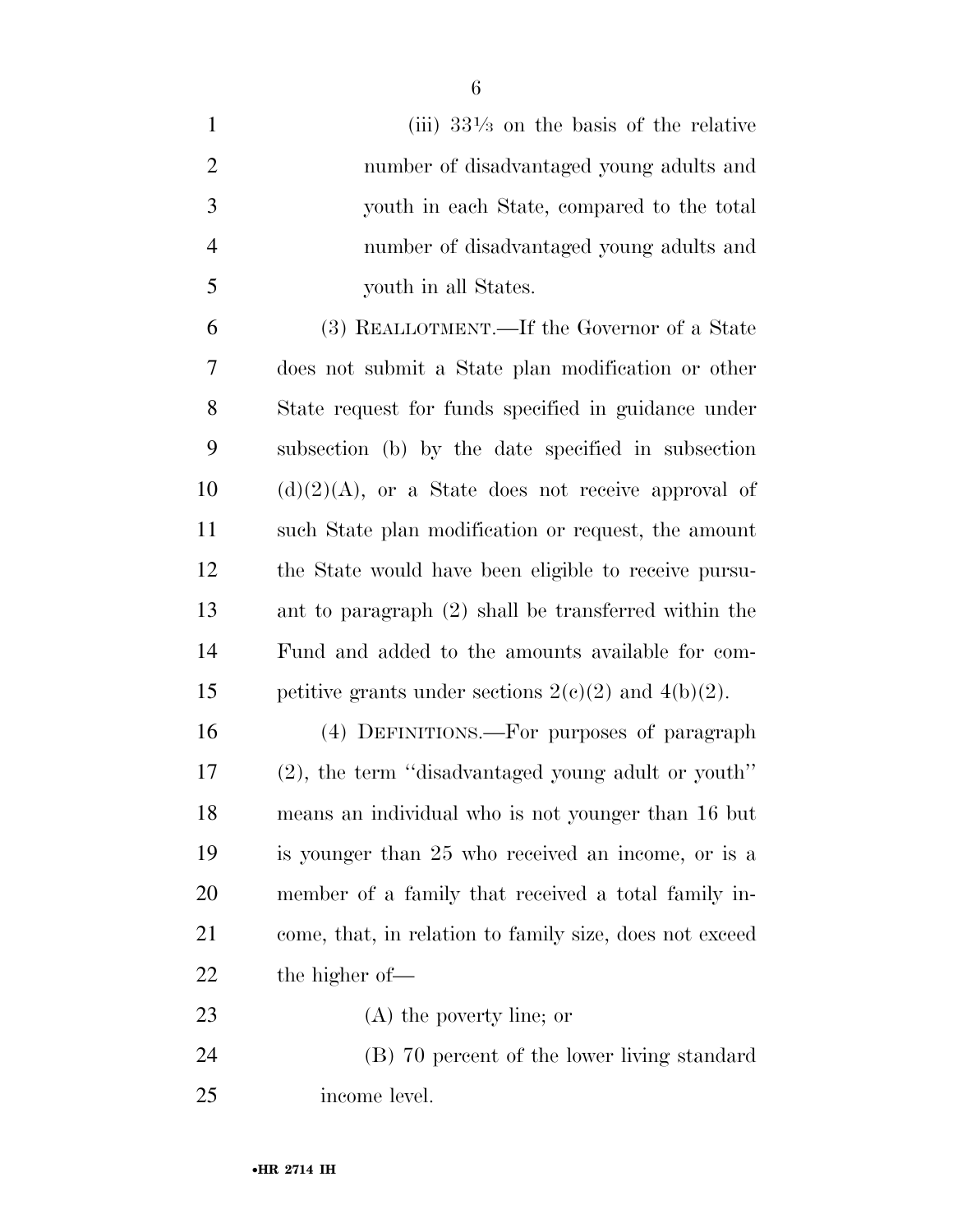| $\mathbf{1}$   | (iii) $33\frac{1}{3}$ on the basis of the relative       |
|----------------|----------------------------------------------------------|
| $\overline{2}$ | number of disadvantaged young adults and                 |
| 3              | youth in each State, compared to the total               |
| $\overline{4}$ | number of disadvantaged young adults and                 |
| 5              | youth in all States.                                     |
| 6              | (3) REALLOTMENT.—If the Governor of a State              |
| 7              | does not submit a State plan modification or other       |
| 8              | State request for funds specified in guidance under      |
| 9              | subsection (b) by the date specified in subsection       |
| 10             | $(d)(2)(A)$ , or a State does not receive approval of    |
| 11             | such State plan modification or request, the amount      |
| 12             | the State would have been eligible to receive pursu-     |
| 13             | ant to paragraph $(2)$ shall be transferred within the   |
| 14             | Fund and added to the amounts available for com-         |
| 15             | petitive grants under sections $2(c)(2)$ and $4(b)(2)$ . |
| 16             | (4) DEFINITIONS.—For purposes of paragraph               |
| 17             | (2), the term "disadvantaged young adult or youth"       |
| 18             | means an individual who is not younger than 16 but       |
| 19             | is younger than 25 who received an income, or is a       |
| <b>20</b>      | member of a family that received a total family in-      |
| 21             | come, that, in relation to family size, does not exceed  |
| 22             | the higher of—                                           |
| 23             | $(A)$ the poverty line; or                               |
| 24             | (B) 70 percent of the lower living standard              |
| 25             | income level.                                            |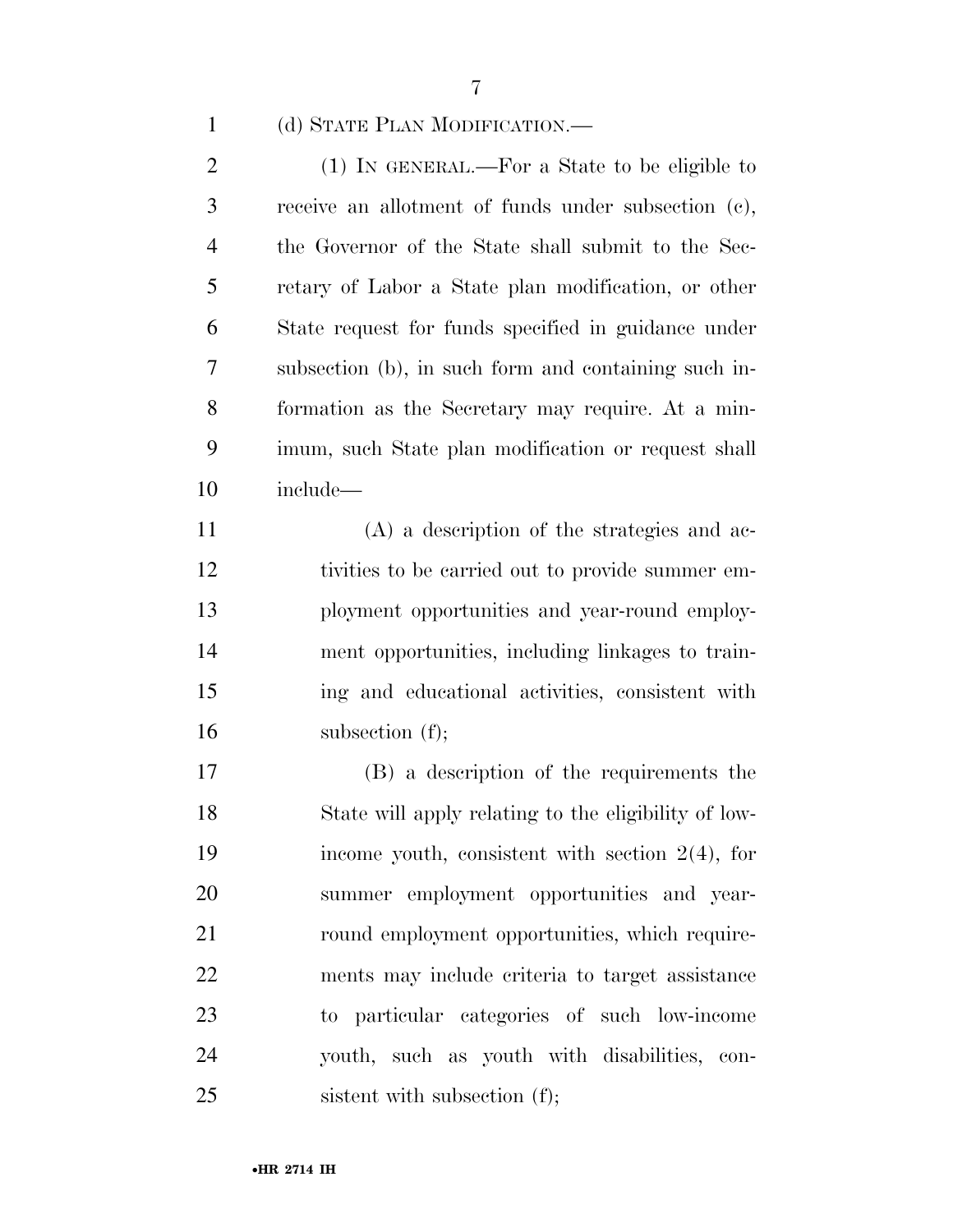(d) STATE PLAN MODIFICATION.—

 (1) IN GENERAL.—For a State to be eligible to receive an allotment of funds under subsection (c), the Governor of the State shall submit to the Sec- retary of Labor a State plan modification, or other State request for funds specified in guidance under subsection (b), in such form and containing such in- formation as the Secretary may require. At a min- imum, such State plan modification or request shall include—

 (A) a description of the strategies and ac- tivities to be carried out to provide summer em- ployment opportunities and year-round employ- ment opportunities, including linkages to train- ing and educational activities, consistent with 16 subsection (f);

 (B) a description of the requirements the State will apply relating to the eligibility of low- income youth, consistent with section 2(4), for summer employment opportunities and year-21 round employment opportunities, which require- ments may include criteria to target assistance to particular categories of such low-income youth, such as youth with disabilities, con-25 sistent with subsection (f);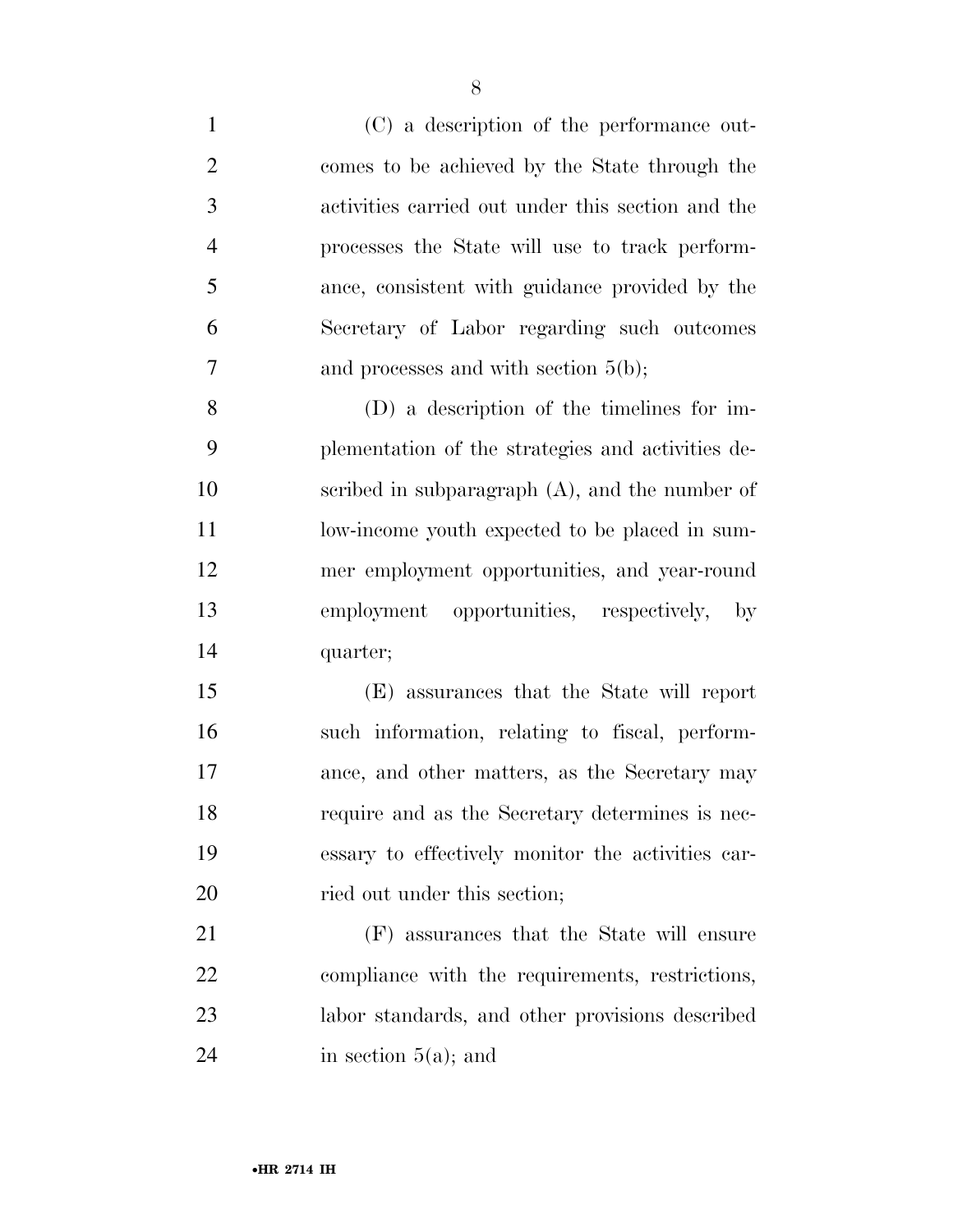- (C) a description of the performance out- comes to be achieved by the State through the activities carried out under this section and the processes the State will use to track perform- ance, consistent with guidance provided by the Secretary of Labor regarding such outcomes and processes and with section 5(b); (D) a description of the timelines for im- plementation of the strategies and activities de- scribed in subparagraph (A), and the number of 11 low-income youth expected to be placed in sum- mer employment opportunities, and year-round employment opportunities, respectively, by quarter; (E) assurances that the State will report such information, relating to fiscal, perform- ance, and other matters, as the Secretary may require and as the Secretary determines is nec- essary to effectively monitor the activities car-20 ried out under this section; (F) assurances that the State will ensure compliance with the requirements, restrictions, labor standards, and other provisions described
	-

24 in section  $5(a)$ ; and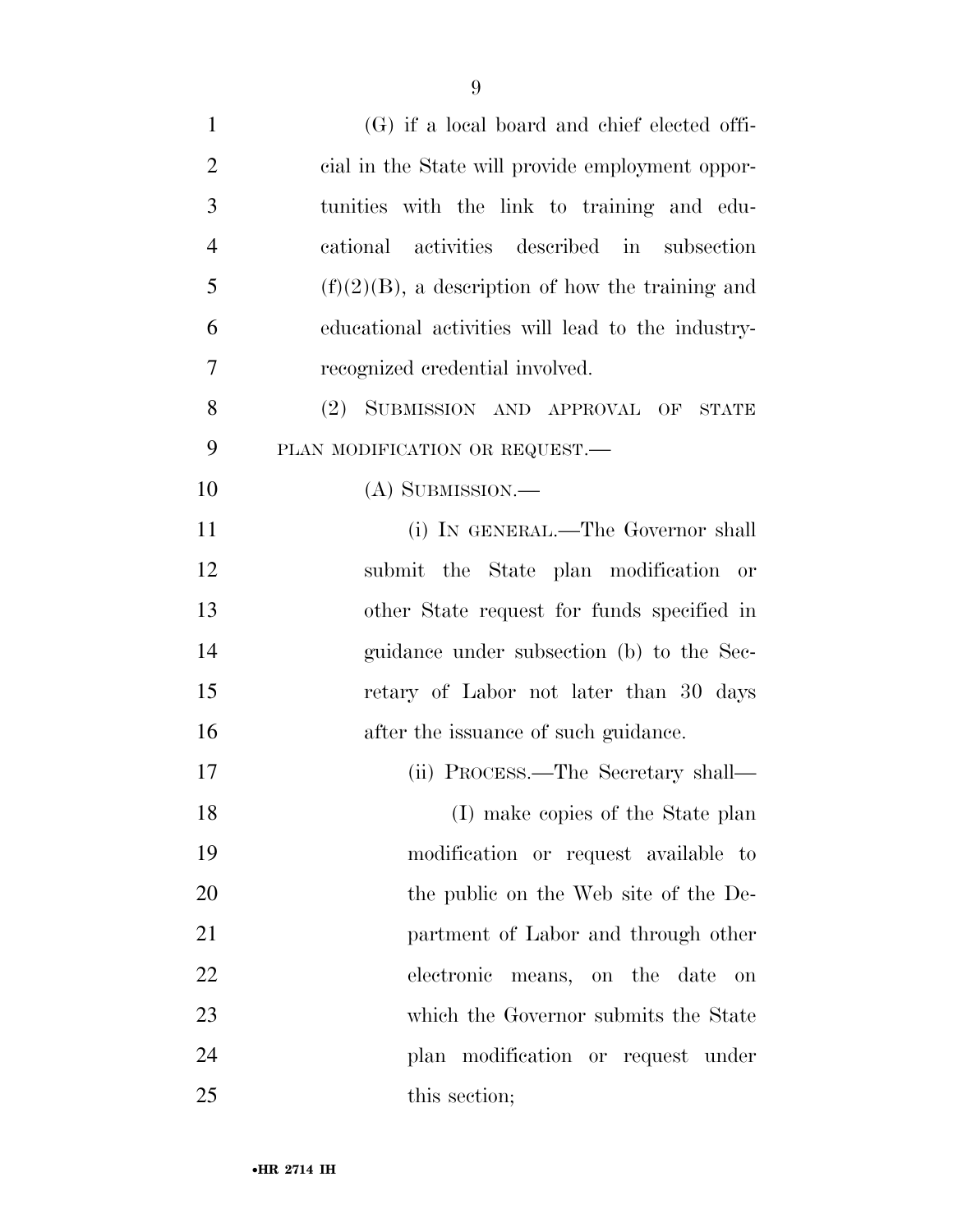| $\mathbf{1}$   | $(G)$ if a local board and chief elected offi-      |
|----------------|-----------------------------------------------------|
| $\overline{2}$ | cial in the State will provide employment oppor-    |
| 3              | tunities with the link to training and edu-         |
| $\overline{4}$ | cational activities described in subsection         |
| 5              | $(f)(2)(B)$ , a description of how the training and |
| 6              | educational activities will lead to the industry-   |
| 7              | recognized credential involved.                     |
| 8              | SUBMISSION AND APPROVAL OF STATE<br>(2)             |
| 9              | PLAN MODIFICATION OR REQUEST.                       |
| 10             | $(A)$ SUBMISSION.—                                  |
| 11             | (i) IN GENERAL.—The Governor shall                  |
| 12             | submit the State plan modification or               |
| 13             | other State request for funds specified in          |
| 14             | guidance under subsection (b) to the Sec-           |
| 15             | retary of Labor not later than 30 days              |
| 16             | after the issuance of such guidance.                |
| 17             | (ii) PROCESS.—The Secretary shall—                  |
| 18             | (I) make copies of the State plan                   |
| 19             | modification or request available to                |
| 20             | the public on the Web site of the De-               |
| 21             | partment of Labor and through other                 |
| 22             | electronic<br>means, on the date<br>on              |
| 23             | which the Governor submits the State                |
| 24             | plan modification or request under                  |
| 25             | this section;                                       |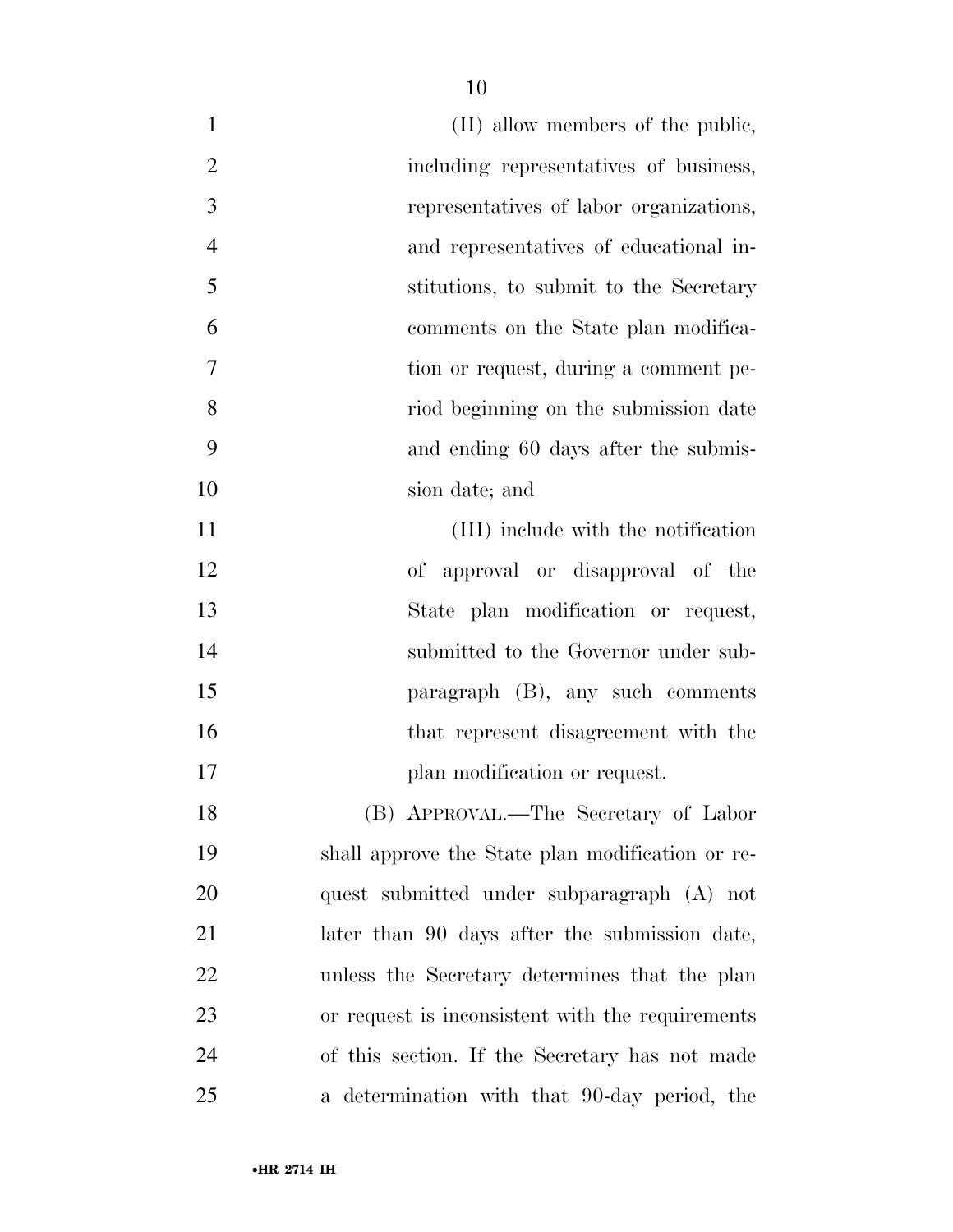| $\mathbf{1}$   | (II) allow members of the public,                |
|----------------|--------------------------------------------------|
| $\overline{2}$ | including representatives of business,           |
| 3              | representatives of labor organizations,          |
| $\overline{4}$ | and representatives of educational in-           |
| 5              | stitutions, to submit to the Secretary           |
| 6              | comments on the State plan modifica-             |
| $\overline{7}$ | tion or request, during a comment pe-            |
| 8              | riod beginning on the submission date            |
| 9              | and ending 60 days after the submis-             |
| 10             | sion date; and                                   |
| 11             | (III) include with the notification              |
| 12             | of approval or disapproval of the                |
| 13             | State plan modification or request,              |
| 14             | submitted to the Governor under sub-             |
| 15             | paragraph $(B)$ , any such comments              |
| 16             | that represent disagreement with the             |
| 17             | plan modification or request.                    |
| 18             | (B) APPROVAL.—The Secretary of Labor             |
| 19             | shall approve the State plan modification or re- |
| 20             | quest submitted under subparagraph (A) not       |
| 21             | later than 90 days after the submission date,    |
| 22             | unless the Secretary determines that the plan    |
| 23             | or request is inconsistent with the requirements |
| 24             | of this section. If the Secretary has not made   |
| 25             | a determination with that 90-day period, the     |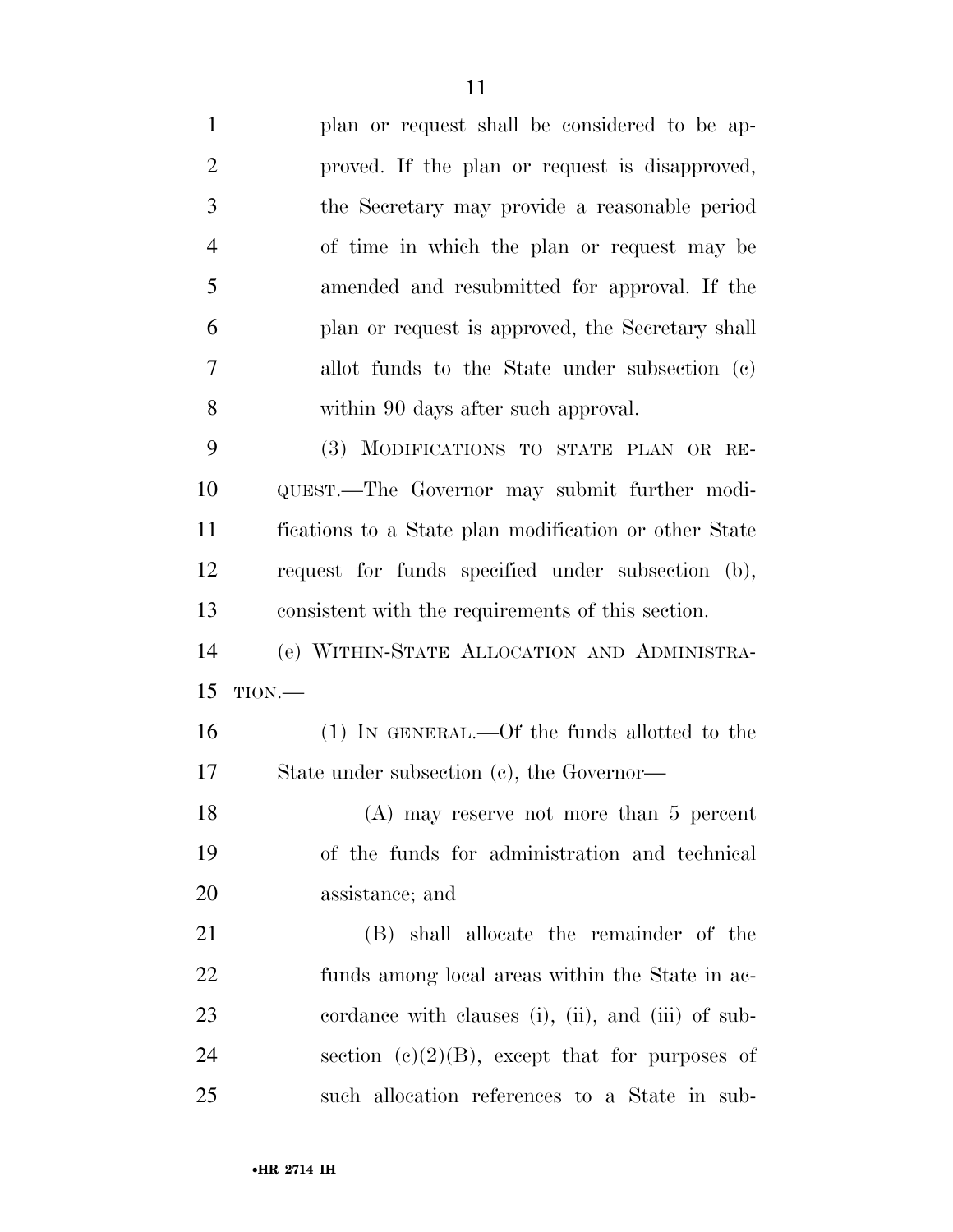plan or request shall be considered to be ap- proved. If the plan or request is disapproved, the Secretary may provide a reasonable period of time in which the plan or request may be amended and resubmitted for approval. If the plan or request is approved, the Secretary shall allot funds to the State under subsection (c) within 90 days after such approval. (3) MODIFICATIONS TO STATE PLAN OR RE- QUEST.—The Governor may submit further modi- fications to a State plan modification or other State request for funds specified under subsection (b), consistent with the requirements of this section. (e) WITHIN-STATE ALLOCATION AND ADMINISTRA- TION.— (1) IN GENERAL.—Of the funds allotted to the State under subsection (c), the Governor— (A) may reserve not more than 5 percent of the funds for administration and technical assistance; and (B) shall allocate the remainder of the funds among local areas within the State in ac- cordance with clauses (i), (ii), and (iii) of sub-24 section  $(e)(2)(B)$ , except that for purposes of such allocation references to a State in sub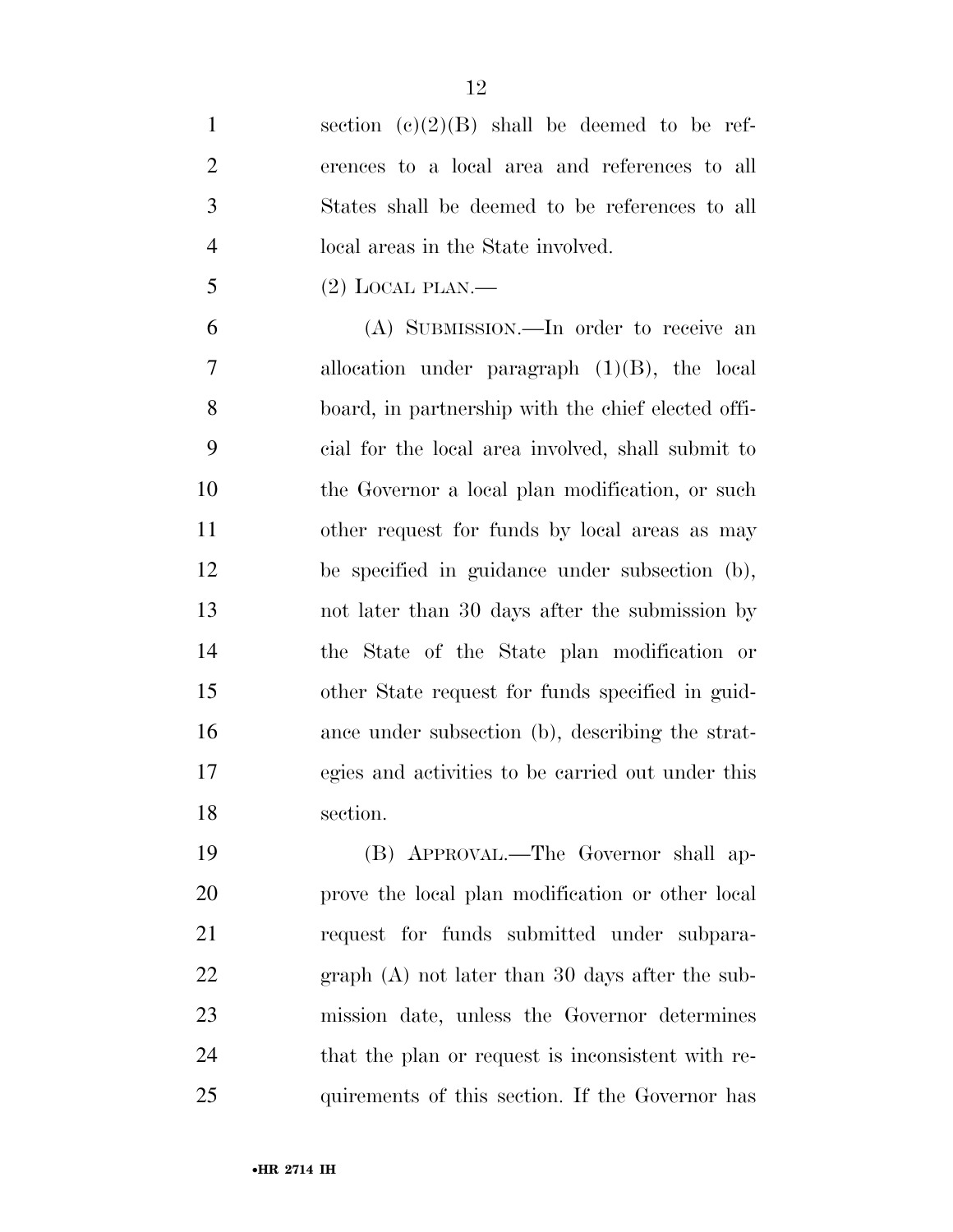1 section  $(e)(2)(B)$  shall be deemed to be ref- erences to a local area and references to all States shall be deemed to be references to all local areas in the State involved.

 $5 \qquad (2)$  LOCAL PLAN.—

 (A) SUBMISSION.—In order to receive an allocation under paragraph (1)(B), the local board, in partnership with the chief elected offi- cial for the local area involved, shall submit to the Governor a local plan modification, or such other request for funds by local areas as may be specified in guidance under subsection (b), not later than 30 days after the submission by the State of the State plan modification or other State request for funds specified in guid- ance under subsection (b), describing the strat- egies and activities to be carried out under this section.

 (B) APPROVAL.—The Governor shall ap- prove the local plan modification or other local request for funds submitted under subpara- graph (A) not later than 30 days after the sub- mission date, unless the Governor determines that the plan or request is inconsistent with re-quirements of this section. If the Governor has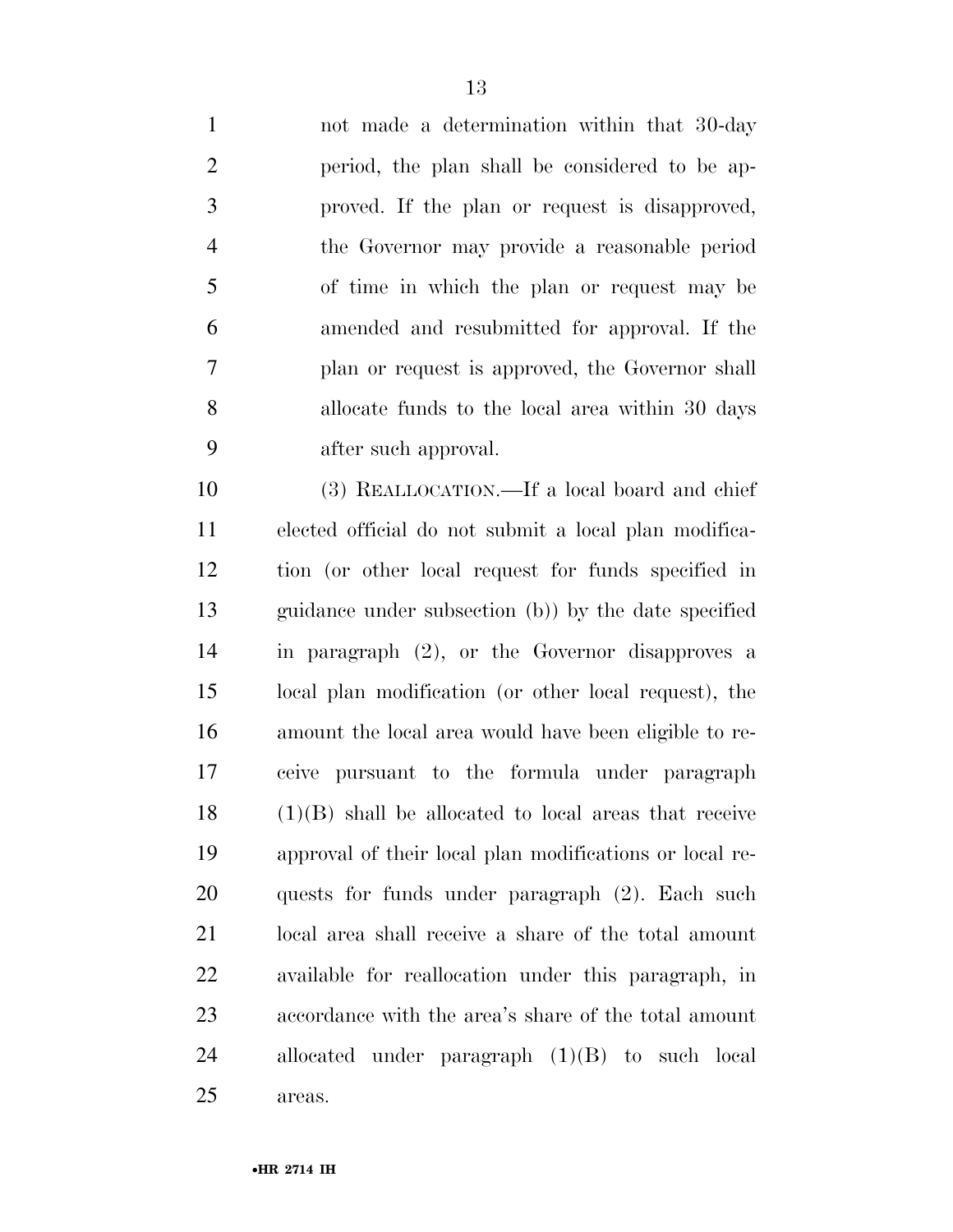not made a determination within that 30-day period, the plan shall be considered to be ap- proved. If the plan or request is disapproved, the Governor may provide a reasonable period of time in which the plan or request may be amended and resubmitted for approval. If the plan or request is approved, the Governor shall allocate funds to the local area within 30 days after such approval.

 (3) REALLOCATION.—If a local board and chief elected official do not submit a local plan modifica- tion (or other local request for funds specified in guidance under subsection (b)) by the date specified in paragraph (2), or the Governor disapproves a local plan modification (or other local request), the amount the local area would have been eligible to re- ceive pursuant to the formula under paragraph (1)(B) shall be allocated to local areas that receive approval of their local plan modifications or local re- quests for funds under paragraph (2). Each such local area shall receive a share of the total amount available for reallocation under this paragraph, in accordance with the area's share of the total amount allocated under paragraph (1)(B) to such local areas.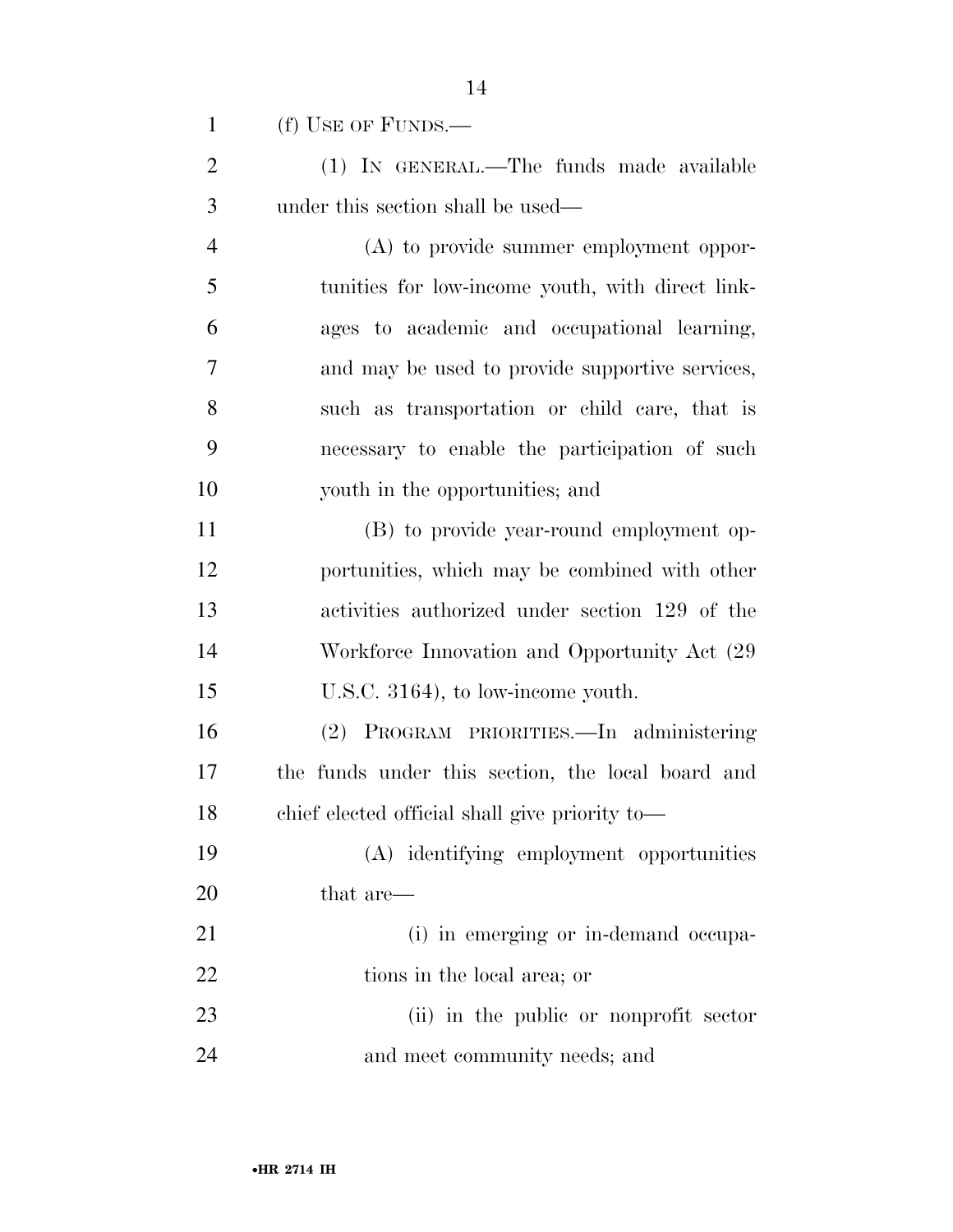(f) USE OF FUNDS.—

 (1) IN GENERAL.—The funds made available under this section shall be used—

 (A) to provide summer employment oppor- tunities for low-income youth, with direct link- ages to academic and occupational learning, and may be used to provide supportive services, such as transportation or child care, that is necessary to enable the participation of such youth in the opportunities; and

 (B) to provide year-round employment op- portunities, which may be combined with other activities authorized under section 129 of the 14 Workforce Innovation and Opportunity Act  $(29)$ U.S.C. 3164), to low-income youth.

 (2) PROGRAM PRIORITIES.—In administering the funds under this section, the local board and chief elected official shall give priority to—

 (A) identifying employment opportunities that are—

 (i) in emerging or in-demand occupa-22 tions in the local area; or (ii) in the public or nonprofit sector

and meet community needs; and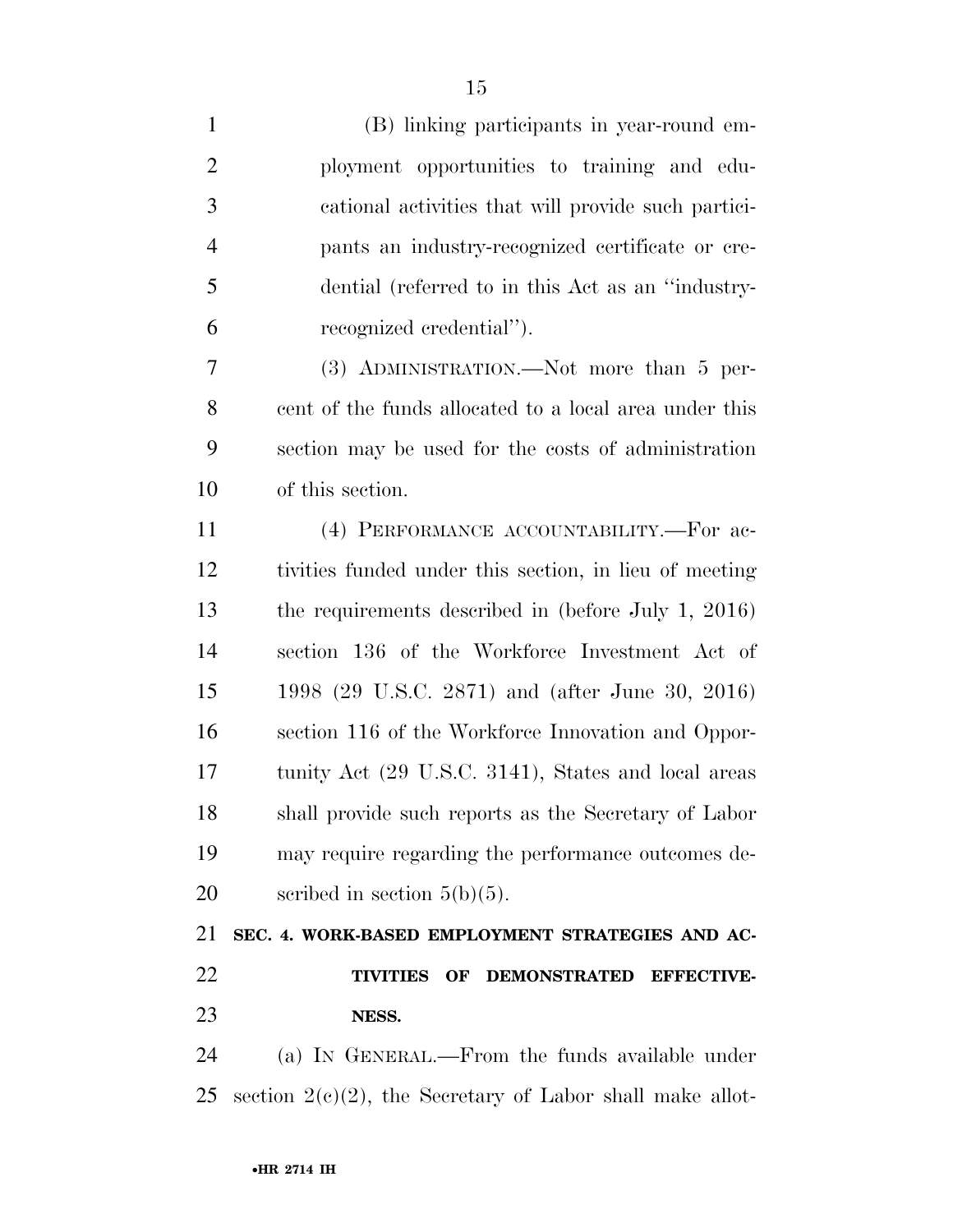(B) linking participants in year-round em- ployment opportunities to training and edu- cational activities that will provide such partici- pants an industry-recognized certificate or cre- dential (referred to in this Act as an ''industry- recognized credential''). (3) ADMINISTRATION.—Not more than 5 per- cent of the funds allocated to a local area under this section may be used for the costs of administration of this section. (4) PERFORMANCE ACCOUNTABILITY.—For ac- tivities funded under this section, in lieu of meeting the requirements described in (before July 1, 2016) section 136 of the Workforce Investment Act of 1998 (29 U.S.C. 2871) and (after June 30, 2016) section 116 of the Workforce Innovation and Oppor- tunity Act (29 U.S.C. 3141), States and local areas shall provide such reports as the Secretary of Labor may require regarding the performance outcomes de-20 scribed in section  $5(b)(5)$ . **SEC. 4. WORK-BASED EMPLOYMENT STRATEGIES AND AC- TIVITIES OF DEMONSTRATED EFFECTIVE- NESS.**  (a) IN GENERAL.—From the funds available under

25 section  $2(c)(2)$ , the Secretary of Labor shall make allot-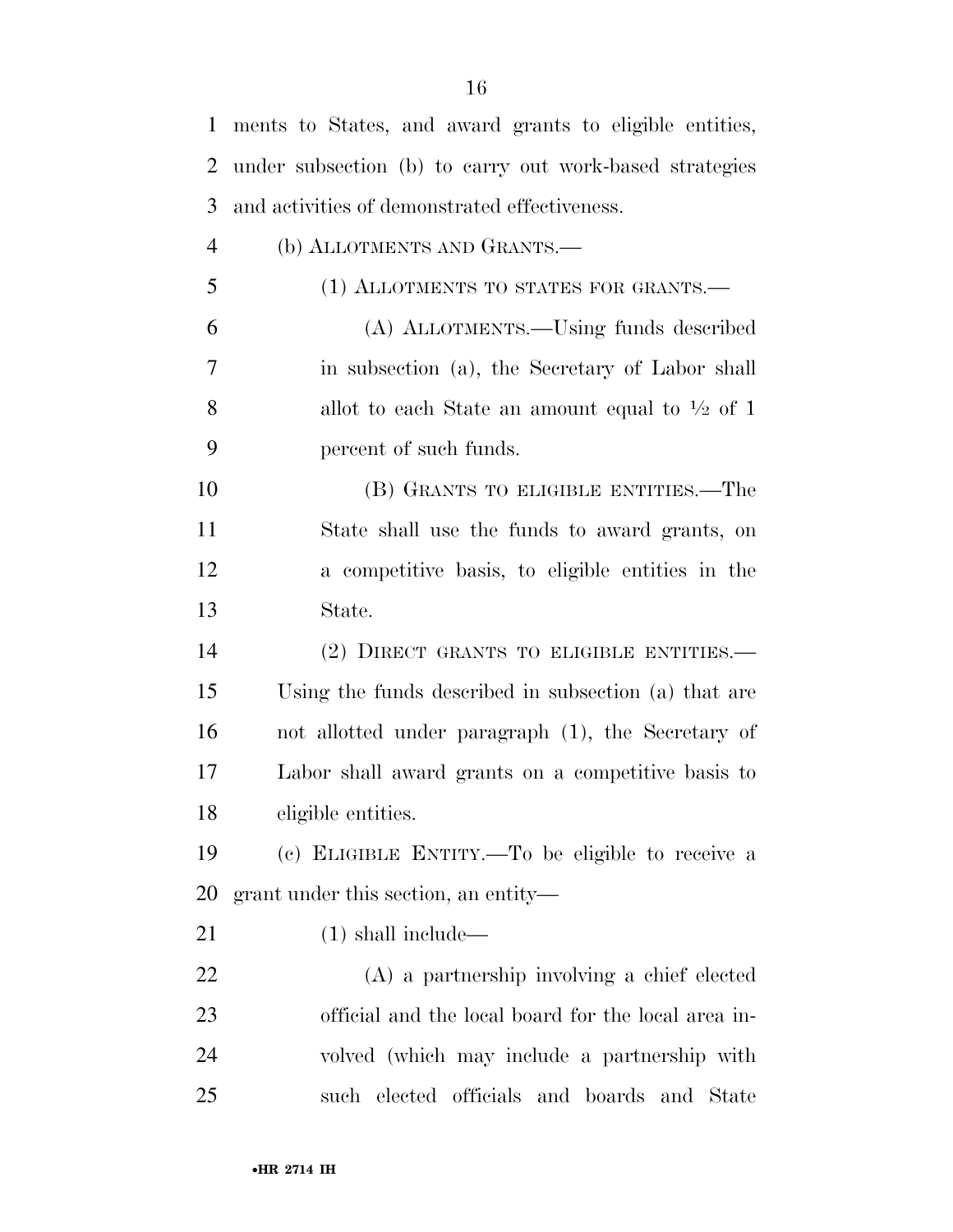| 1              | ments to States, and award grants to eligible entities,   |
|----------------|-----------------------------------------------------------|
| 2              | under subsection (b) to carry out work-based strategies   |
| 3              | and activities of demonstrated effectiveness.             |
| $\overline{4}$ | (b) ALLOTMENTS AND GRANTS.—                               |
| 5              | (1) ALLOTMENTS TO STATES FOR GRANTS.—                     |
| 6              | (A) ALLOTMENTS.—Using funds described                     |
| 7              | in subsection (a), the Secretary of Labor shall           |
| 8              | allot to each State an amount equal to $\frac{1}{2}$ of 1 |
| 9              | percent of such funds.                                    |
| 10             | (B) GRANTS TO ELIGIBLE ENTITIES.—The                      |
| 11             | State shall use the funds to award grants, on             |
| 12             | a competitive basis, to eligible entities in the          |
| 13             | State.                                                    |
| 14             | (2) DIRECT GRANTS TO ELIGIBLE ENTITIES.—                  |
|                |                                                           |
| 15             | Using the funds described in subsection (a) that are      |
| 16             | not allotted under paragraph (1), the Secretary of        |
| 17             | Labor shall award grants on a competitive basis to        |
| 18             | eligible entities.                                        |
| 19             | (c) ELIGIBLE ENTITY.—To be eligible to receive a          |
| <b>20</b>      | grant under this section, an entity—                      |
| 21             | $(1)$ shall include—                                      |
| 22             | (A) a partnership involving a chief elected               |
| 23             | official and the local board for the local area in-       |
| 24             | volved (which may include a partnership with              |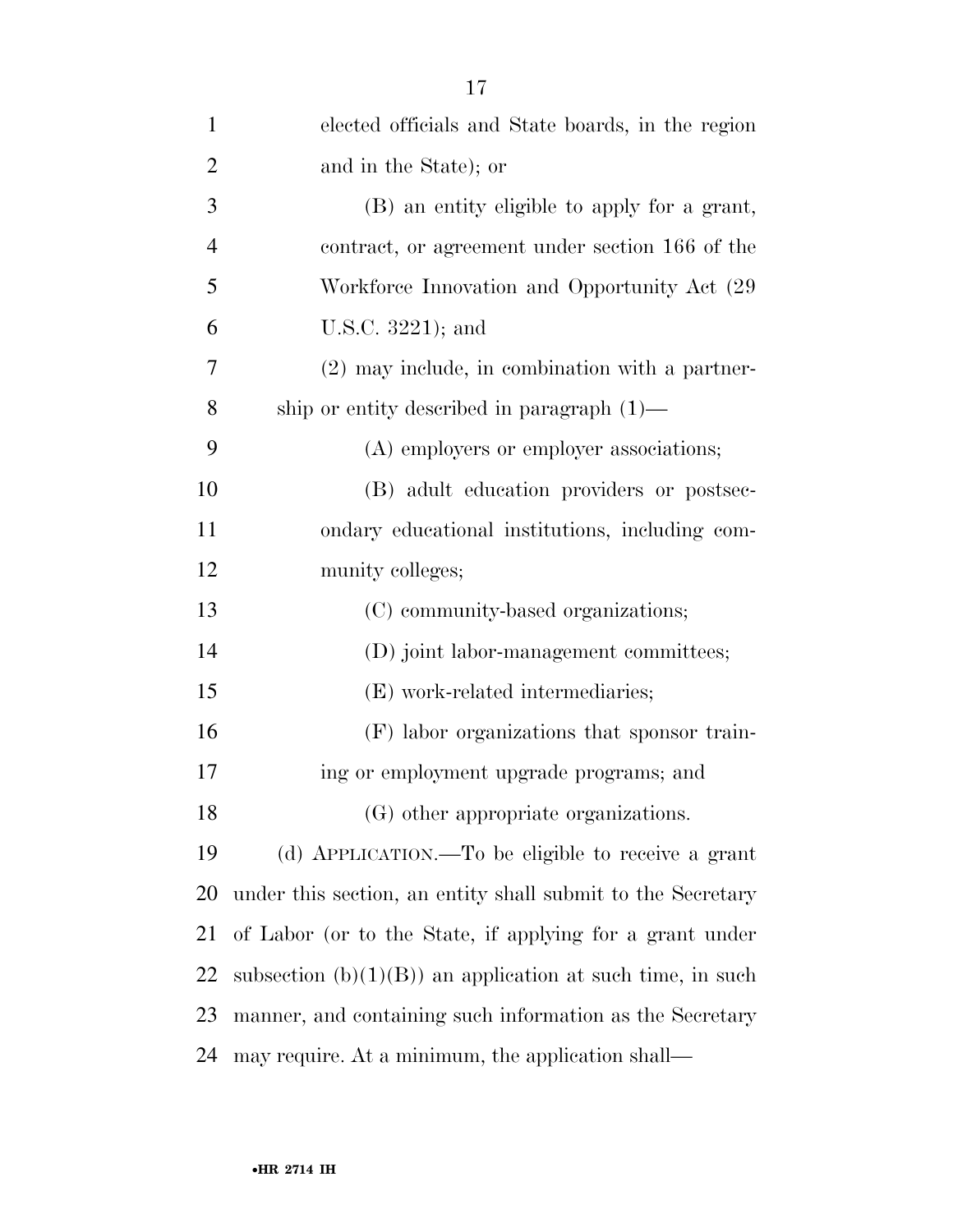| $\mathbf{1}$   | elected officials and State boards, in the region           |
|----------------|-------------------------------------------------------------|
| $\overline{2}$ | and in the State); or                                       |
| 3              | (B) an entity eligible to apply for a grant,                |
| $\overline{4}$ | contract, or agreement under section 166 of the             |
| 5              | Workforce Innovation and Opportunity Act (29)               |
| 6              | U.S.C. 3221); and                                           |
| 7              | $(2)$ may include, in combination with a partner-           |
| 8              | ship or entity described in paragraph $(1)$ —               |
| 9              | (A) employers or employer associations;                     |
| 10             | (B) adult education providers or postsec-                   |
| 11             | ondary educational institutions, including com-             |
| 12             | munity colleges;                                            |
| 13             | (C) community-based organizations;                          |
| 14             | (D) joint labor-management committees;                      |
| 15             | (E) work-related intermediaries;                            |
| 16             | (F) labor organizations that sponsor train-                 |
| 17             | ing or employment upgrade programs; and                     |
| 18             | (G) other appropriate organizations.                        |
| 19             | (d) APPLICATION.—To be eligible to receive a grant          |
| 20             | under this section, an entity shall submit to the Secretary |
| 21             | of Labor (or to the State, if applying for a grant under    |
| 22             | subsection $(b)(1)(B)$ an application at such time, in such |
| 23             | manner, and containing such information as the Secretary    |
| 24             | may require. At a minimum, the application shall—           |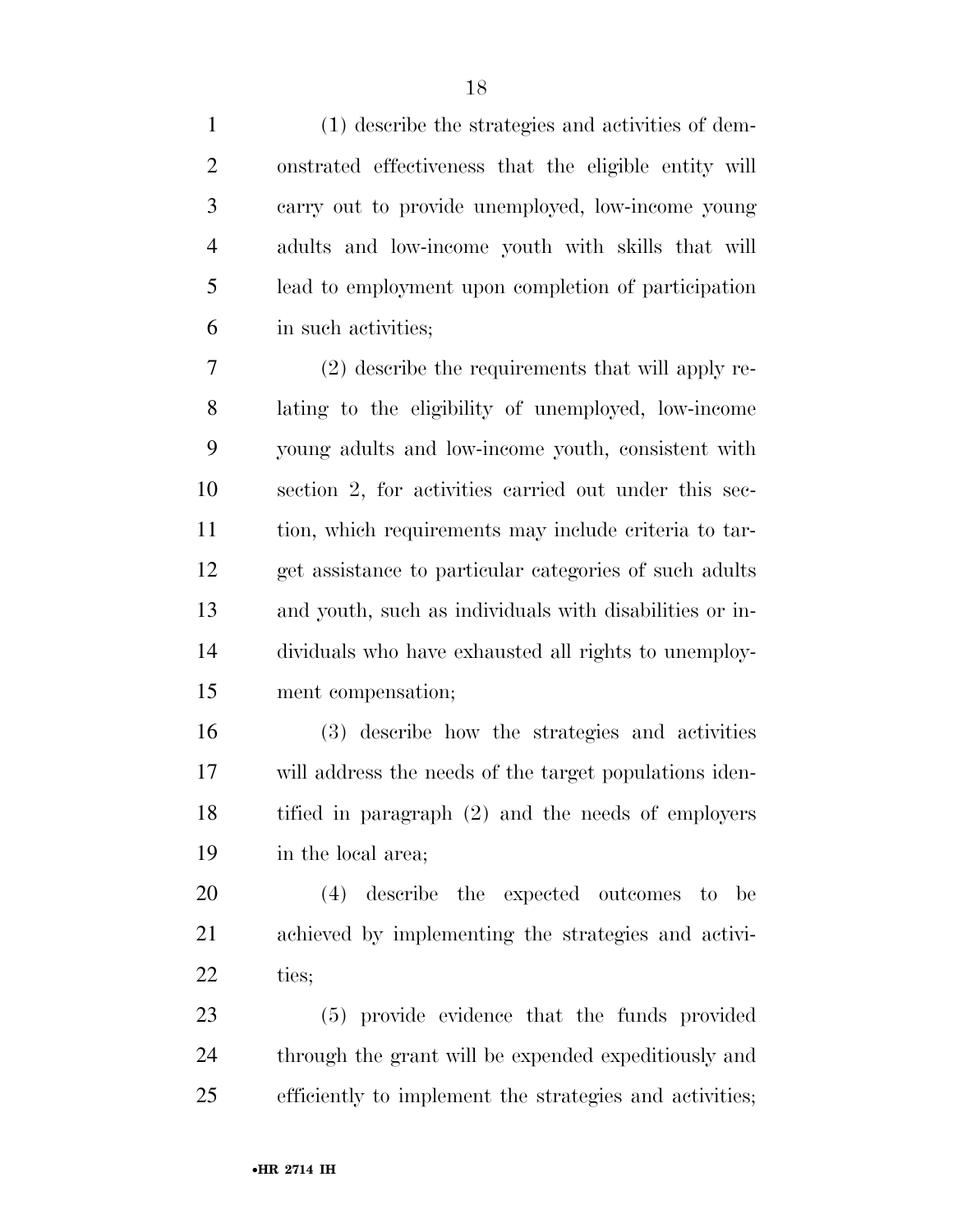(1) describe the strategies and activities of dem- onstrated effectiveness that the eligible entity will carry out to provide unemployed, low-income young adults and low-income youth with skills that will lead to employment upon completion of participation in such activities;

 (2) describe the requirements that will apply re- lating to the eligibility of unemployed, low-income young adults and low-income youth, consistent with section 2, for activities carried out under this sec- tion, which requirements may include criteria to tar- get assistance to particular categories of such adults and youth, such as individuals with disabilities or in- dividuals who have exhausted all rights to unemploy-ment compensation;

 (3) describe how the strategies and activities will address the needs of the target populations iden- tified in paragraph (2) and the needs of employers in the local area;

 (4) describe the expected outcomes to be achieved by implementing the strategies and activi-ties;

 (5) provide evidence that the funds provided through the grant will be expended expeditiously and efficiently to implement the strategies and activities;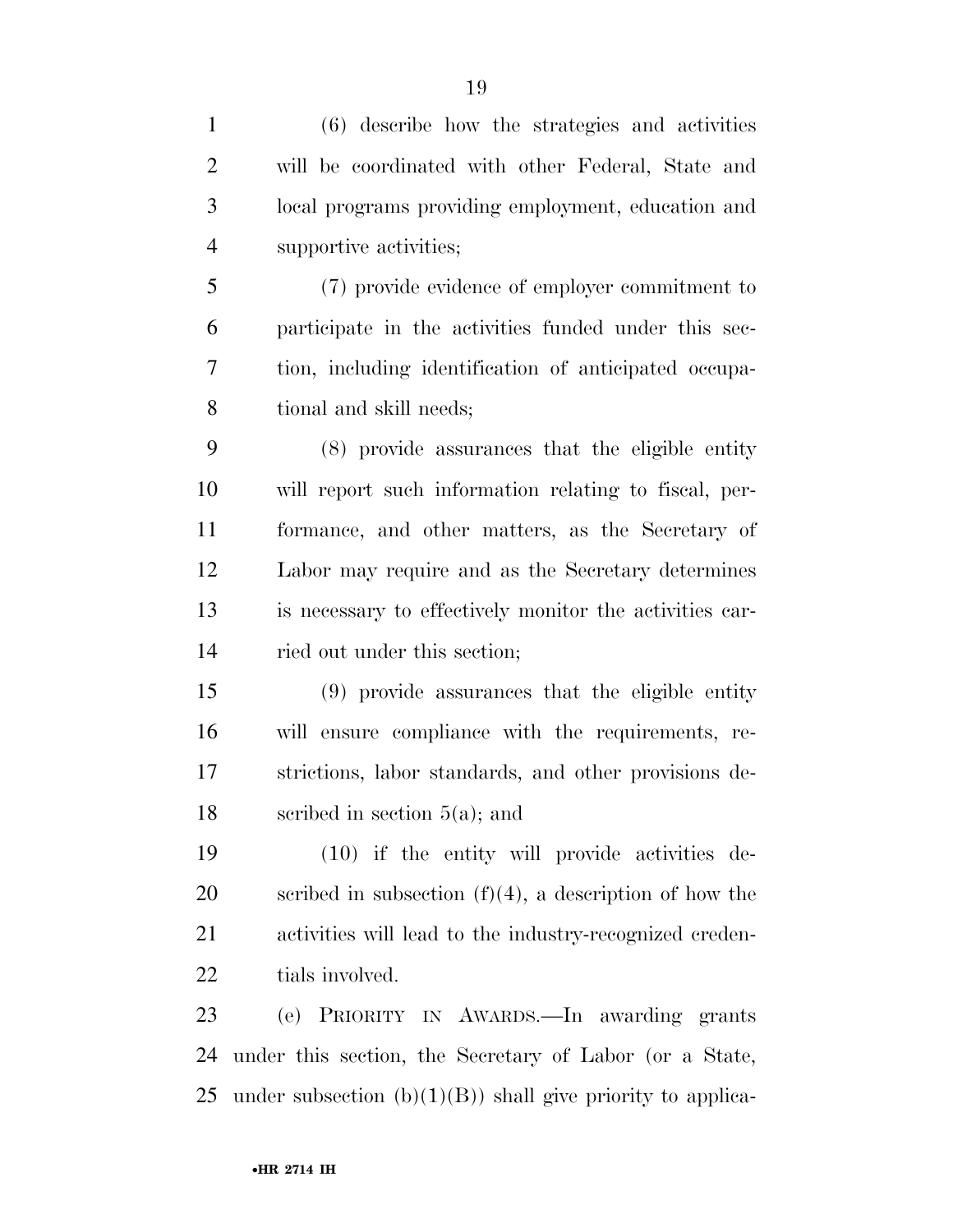| $\mathbf{1}$   | (6) describe how the strategies and activities               |
|----------------|--------------------------------------------------------------|
| $\overline{2}$ | will be coordinated with other Federal, State and            |
| 3              | local programs providing employment, education and           |
| $\overline{4}$ | supportive activities;                                       |
| 5              | (7) provide evidence of employer commitment to               |
| 6              | participate in the activities funded under this sec-         |
| 7              | tion, including identification of anticipated occupa-        |
| 8              | tional and skill needs;                                      |
| 9              | (8) provide assurances that the eligible entity              |
| 10             | will report such information relating to fiscal, per-        |
| 11             | formance, and other matters, as the Secretary of             |
| 12             | Labor may require and as the Secretary determines            |
| 13             | is necessary to effectively monitor the activities car-      |
| 14             | ried out under this section;                                 |
| 15             | (9) provide assurances that the eligible entity              |
| 16             | will ensure compliance with the requirements, re-            |
| 17             | strictions, labor standards, and other provisions de-        |
| 18             | scribed in section $5(a)$ ; and                              |
| 19             | (10) if the entity will provide activities de-               |
| 20             | scribed in subsection $(f)(4)$ , a description of how the    |
| 21             | activities will lead to the industry-recognized creden-      |
| 22             | tials involved.                                              |
| 23             | (e) PRIORITY IN AWARDS.—In awarding grants                   |
| 24             | under this section, the Secretary of Labor (or a State,      |
| 25             | under subsection $(b)(1)(B)$ shall give priority to applica- |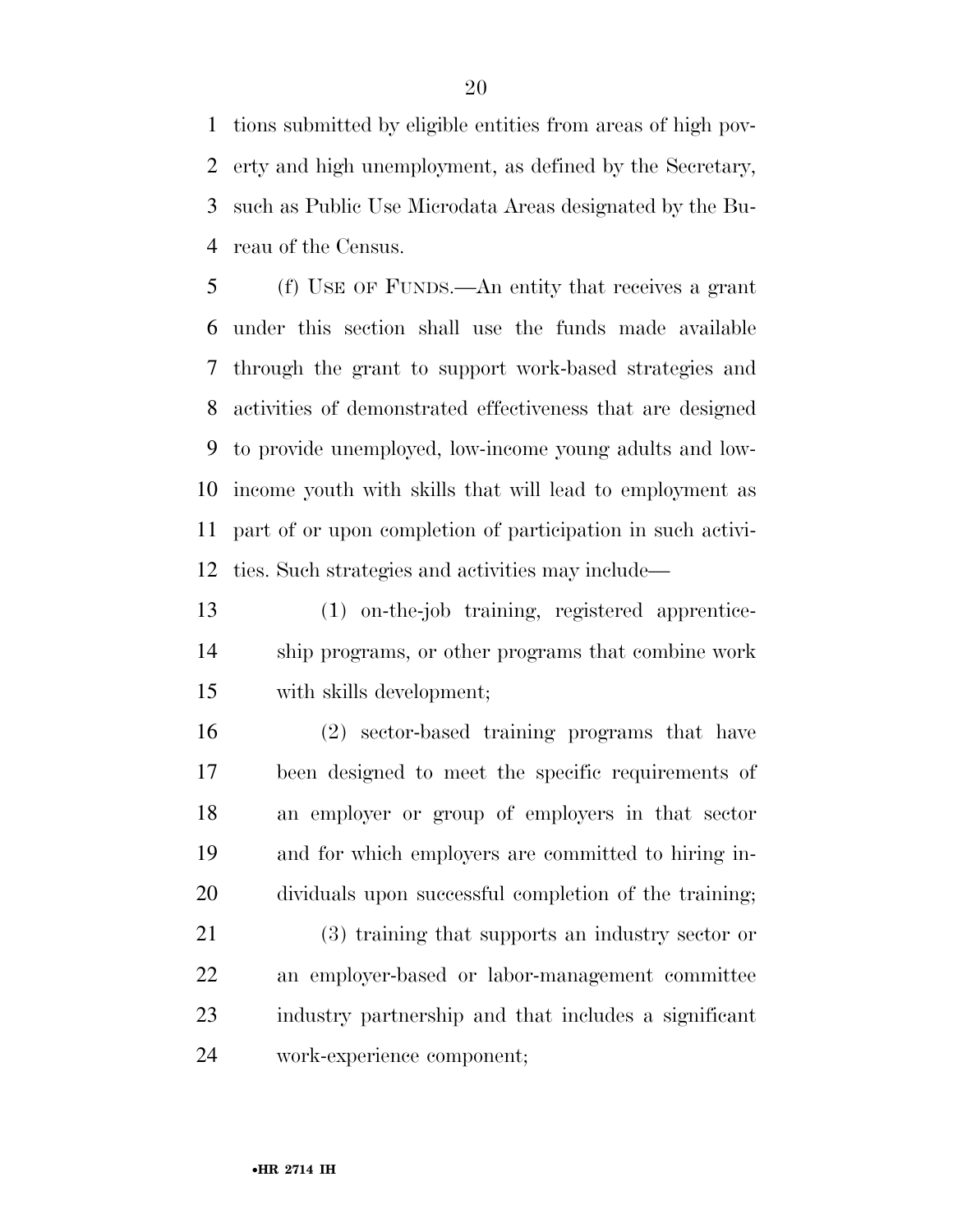tions submitted by eligible entities from areas of high pov- erty and high unemployment, as defined by the Secretary, such as Public Use Microdata Areas designated by the Bu-reau of the Census.

 (f) USE OF FUNDS.—An entity that receives a grant under this section shall use the funds made available through the grant to support work-based strategies and activities of demonstrated effectiveness that are designed to provide unemployed, low-income young adults and low- income youth with skills that will lead to employment as part of or upon completion of participation in such activi-ties. Such strategies and activities may include—

 (1) on-the-job training, registered apprentice- ship programs, or other programs that combine work with skills development;

 (2) sector-based training programs that have been designed to meet the specific requirements of an employer or group of employers in that sector and for which employers are committed to hiring in-dividuals upon successful completion of the training;

 (3) training that supports an industry sector or an employer-based or labor-management committee industry partnership and that includes a significant work-experience component;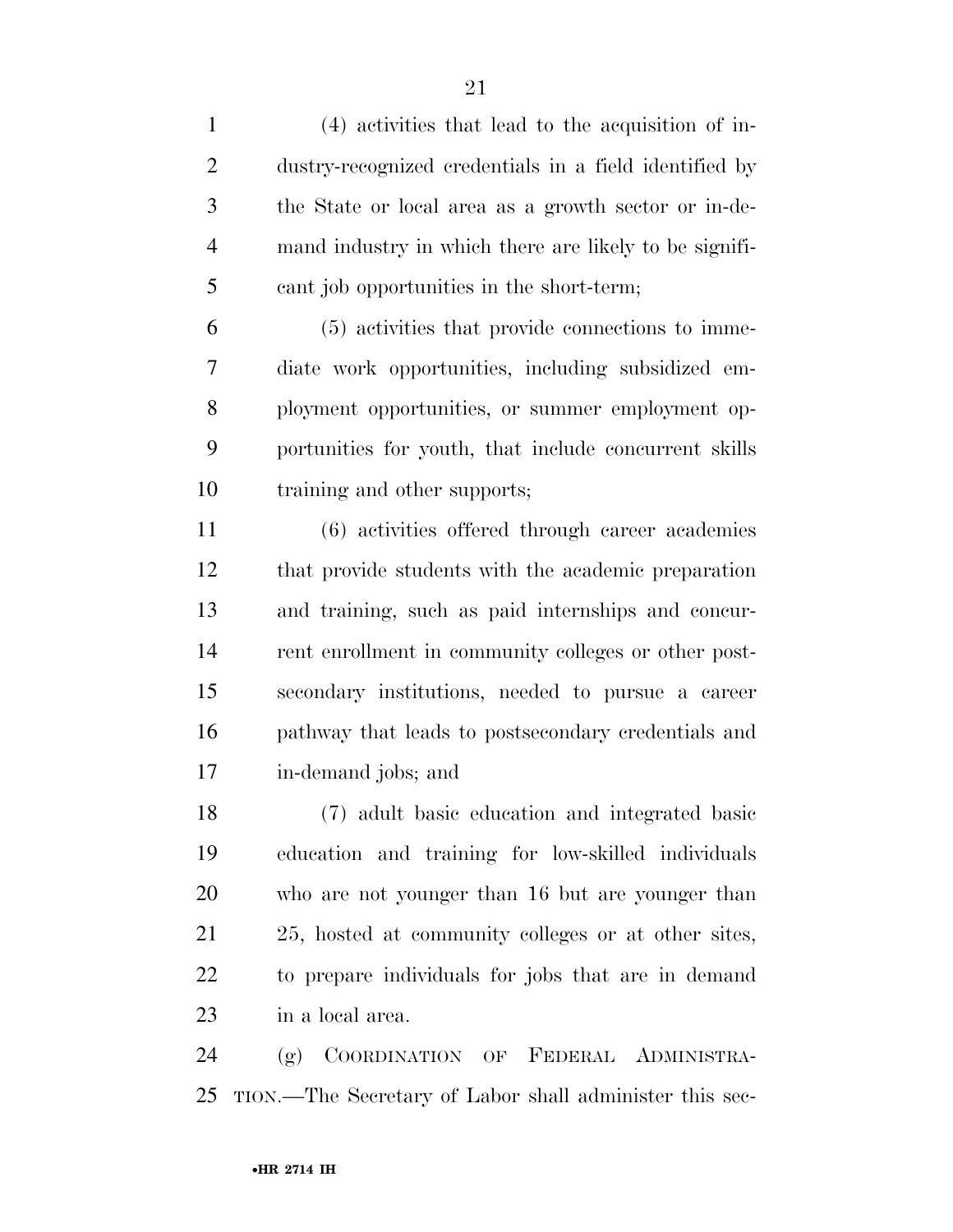(4) activities that lead to the acquisition of in- dustry-recognized credentials in a field identified by the State or local area as a growth sector or in-de- mand industry in which there are likely to be signifi-cant job opportunities in the short-term;

 (5) activities that provide connections to imme- diate work opportunities, including subsidized em- ployment opportunities, or summer employment op- portunities for youth, that include concurrent skills training and other supports;

 (6) activities offered through career academies that provide students with the academic preparation and training, such as paid internships and concur- rent enrollment in community colleges or other post- secondary institutions, needed to pursue a career pathway that leads to postsecondary credentials and in-demand jobs; and

 (7) adult basic education and integrated basic education and training for low-skilled individuals who are not younger than 16 but are younger than 25, hosted at community colleges or at other sites, to prepare individuals for jobs that are in demand in a local area.

 (g) COORDINATION OF FEDERAL ADMINISTRA-TION.—The Secretary of Labor shall administer this sec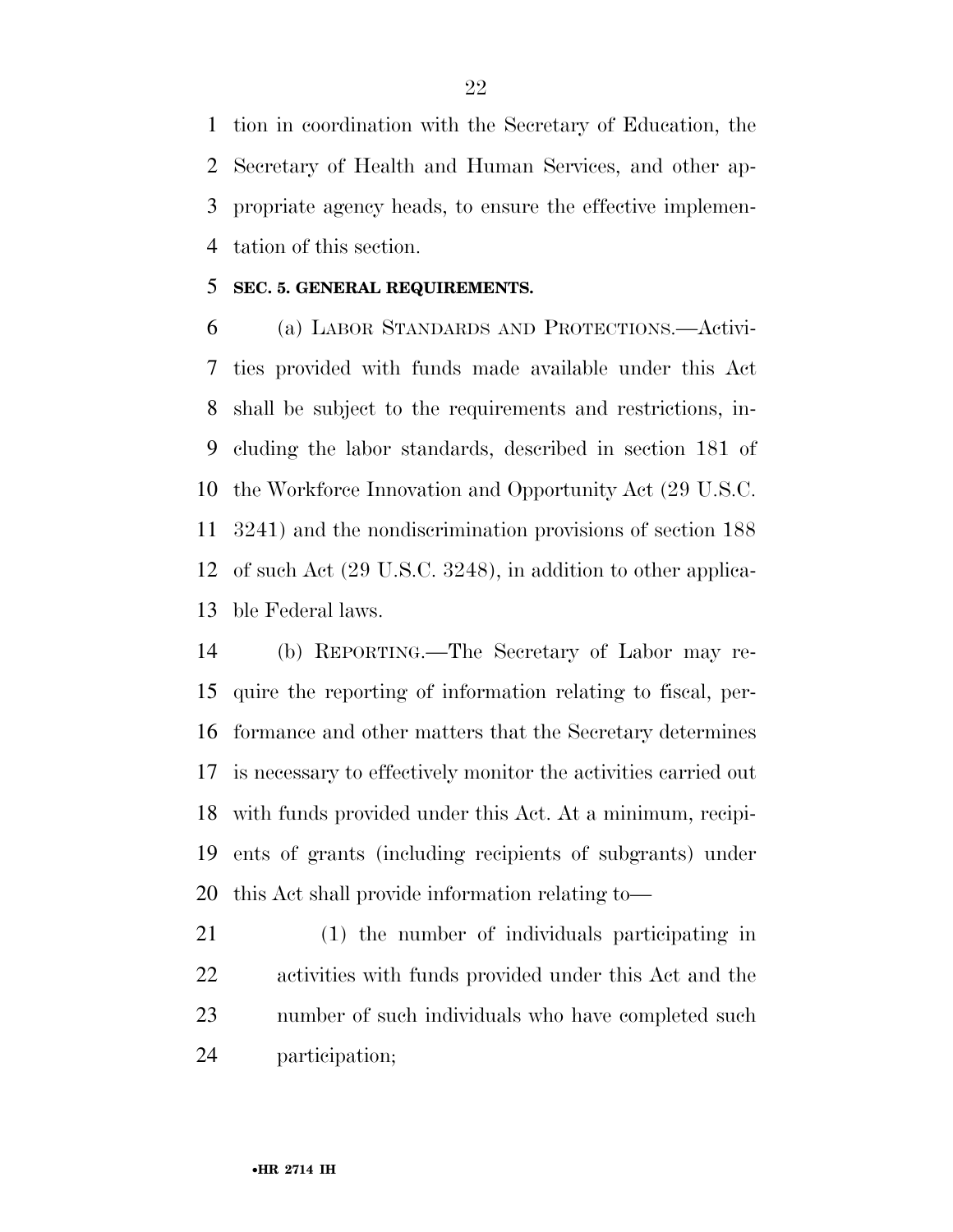tion in coordination with the Secretary of Education, the Secretary of Health and Human Services, and other ap- propriate agency heads, to ensure the effective implemen-tation of this section.

#### **SEC. 5. GENERAL REQUIREMENTS.**

 (a) LABOR STANDARDS AND PROTECTIONS.—Activi- ties provided with funds made available under this Act shall be subject to the requirements and restrictions, in- cluding the labor standards, described in section 181 of the Workforce Innovation and Opportunity Act (29 U.S.C. 3241) and the nondiscrimination provisions of section 188 of such Act (29 U.S.C. 3248), in addition to other applica-ble Federal laws.

 (b) REPORTING.—The Secretary of Labor may re- quire the reporting of information relating to fiscal, per- formance and other matters that the Secretary determines is necessary to effectively monitor the activities carried out with funds provided under this Act. At a minimum, recipi- ents of grants (including recipients of subgrants) under this Act shall provide information relating to—

 (1) the number of individuals participating in activities with funds provided under this Act and the number of such individuals who have completed such participation;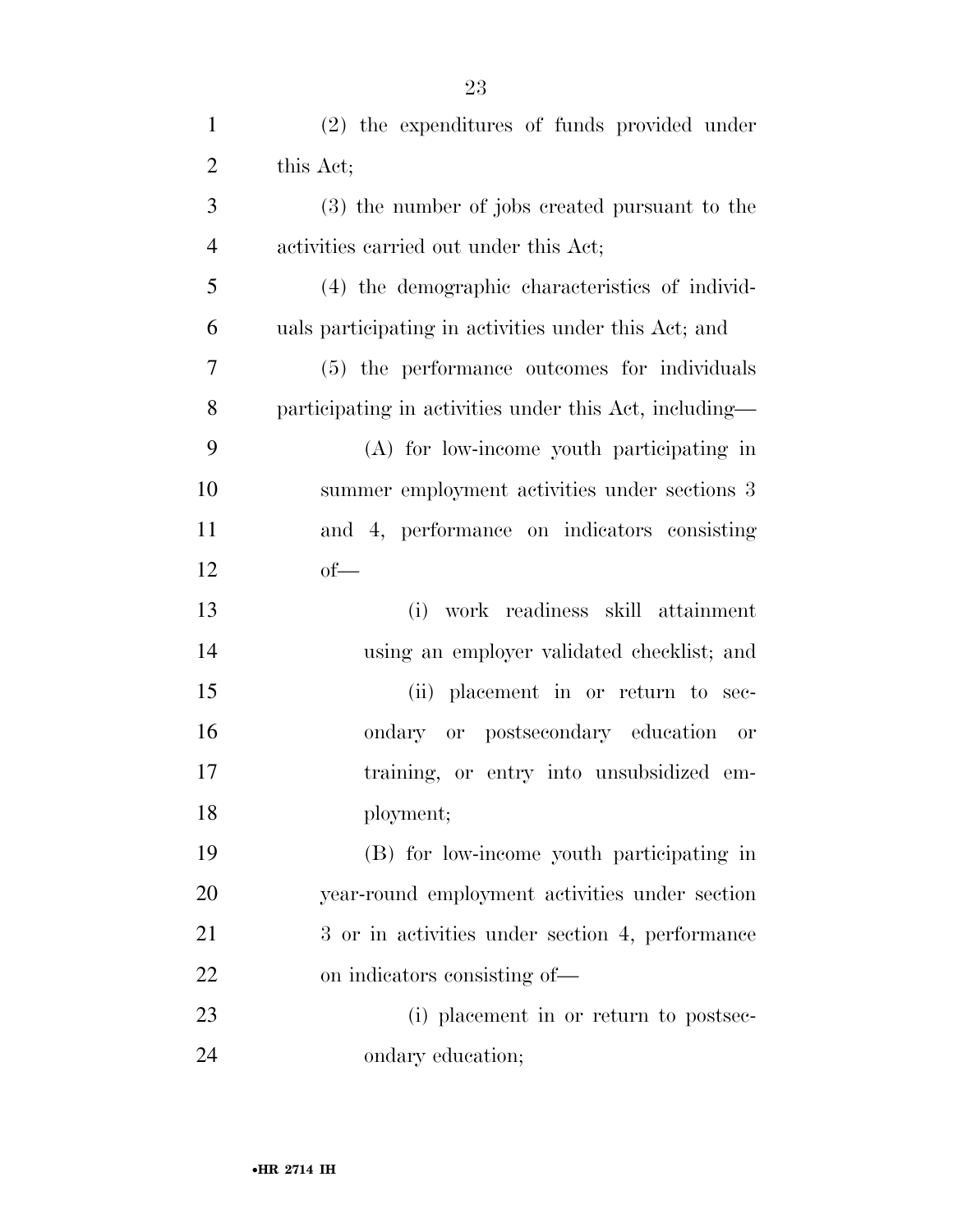| $\mathbf{1}$   | (2) the expenditures of funds provided under           |
|----------------|--------------------------------------------------------|
| $\overline{2}$ | this Act;                                              |
| 3              | (3) the number of jobs created pursuant to the         |
| $\overline{4}$ | activities carried out under this Act;                 |
| 5              | (4) the demographic characteristics of individ-        |
| 6              | uals participating in activities under this Act; and   |
| $\overline{7}$ | (5) the performance outcomes for individuals           |
| 8              | participating in activities under this Act, including— |
| 9              | (A) for low-income youth participating in              |
| 10             | summer employment activities under sections 3          |
| 11             | and 4, performance on indicators consisting            |
| 12             | $of$ —                                                 |
| 13             | work readiness skill attainment<br>(i)                 |
| 14             | using an employer validated checklist; and             |
| 15             | (ii) placement in or return to sec-                    |
| 16             | ondary or postsecondary education or                   |
| 17             | training, or entry into unsubsidized em-               |
| 18             | ployment;                                              |
| 19             | (B) for low-income youth participating in              |
| 20             | year-round employment activities under section         |
| 21             | 3 or in activities under section 4, performance        |
| 22             | on indicators consisting of—                           |
| 23             | (i) placement in or return to postsec-                 |
| 24             | ondary education;                                      |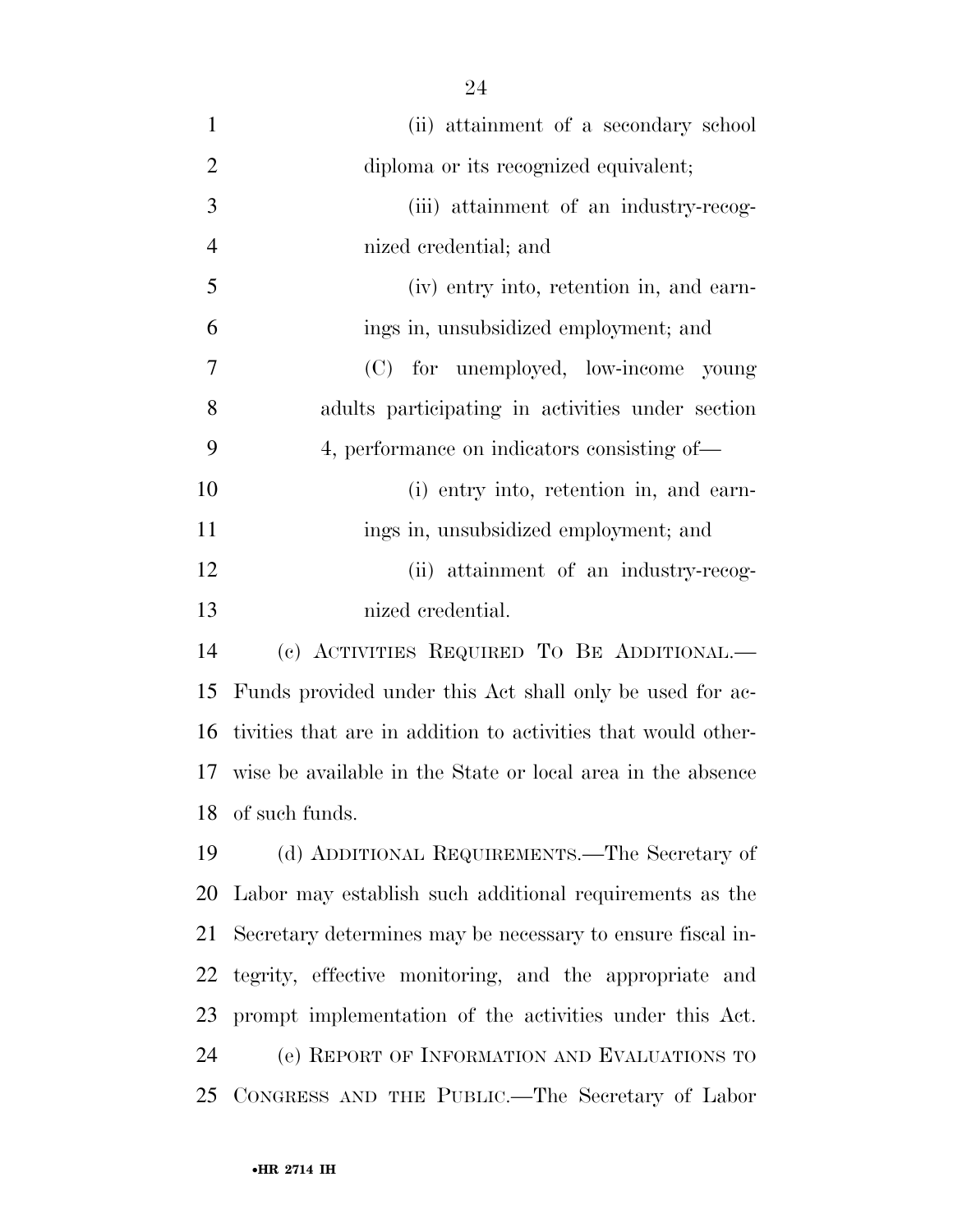| $\mathbf{1}$   | (ii) attainment of a secondary school                         |
|----------------|---------------------------------------------------------------|
| $\overline{2}$ | diploma or its recognized equivalent;                         |
| 3              | (iii) attainment of an industry-recog-                        |
| $\overline{4}$ | nized credential; and                                         |
| 5              | (iv) entry into, retention in, and earn-                      |
| 6              | ings in, unsubsidized employment; and                         |
| $\overline{7}$ | (C) for unemployed, low-income young                          |
| 8              | adults participating in activities under section              |
| 9              | 4, performance on indicators consisting of—                   |
| 10             | (i) entry into, retention in, and earn-                       |
| 11             | ings in, unsubsidized employment; and                         |
| 12             | (ii) attainment of an industry-recog-                         |
| 13             | nized credential.                                             |
| 14             | (c) ACTIVITIES REQUIRED TO BE ADDITIONAL.—                    |
| 15             | Funds provided under this Act shall only be used for ac-      |
| 16             | tivities that are in addition to activities that would other- |
| 17             | wise be available in the State or local area in the absence   |
| 18             | of such funds.                                                |
| 19             | (d) ADDITIONAL REQUIREMENTS.—The Secretary of                 |
| 20             | Labor may establish such additional requirements as the       |
| 21             | Secretary determines may be necessary to ensure fiscal in-    |
| 22             | tegrity, effective monitoring, and the appropriate and        |
| 23             | prompt implementation of the activities under this Act.       |
| 24             | (e) REPORT OF INFORMATION AND EVALUATIONS TO                  |
| 25             | CONGRESS AND THE PUBLIC.—The Secretary of Labor               |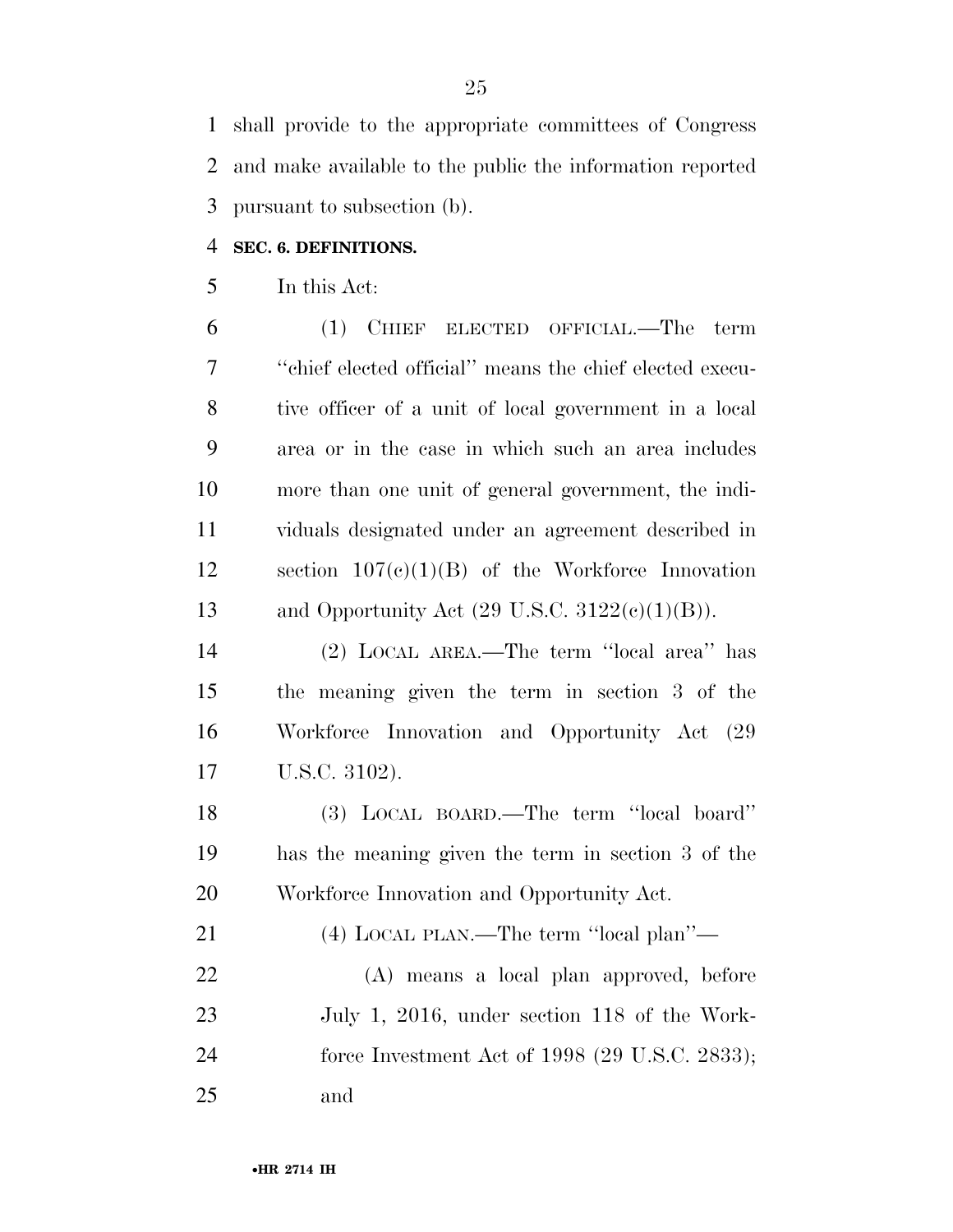shall provide to the appropriate committees of Congress and make available to the public the information reported pursuant to subsection (b).

#### **SEC. 6. DEFINITIONS.**

In this Act:

 (1) CHIEF ELECTED OFFICIAL.—The term ''chief elected official'' means the chief elected execu- tive officer of a unit of local government in a local area or in the case in which such an area includes more than one unit of general government, the indi- viduals designated under an agreement described in section 107(c)(1)(B) of the Workforce Innovation 13 and Opportunity Act  $(29 \text{ U.S.C. } 3122(\text{e})(1)(\text{B}))$ .

 (2) LOCAL AREA.—The term ''local area'' has the meaning given the term in section 3 of the Workforce Innovation and Opportunity Act (29 U.S.C. 3102).

 (3) LOCAL BOARD.—The term ''local board'' has the meaning given the term in section 3 of the Workforce Innovation and Opportunity Act.

(4) LOCAL PLAN.—The term ''local plan''—

 (A) means a local plan approved, before July 1, 2016, under section 118 of the Work- force Investment Act of 1998 (29 U.S.C. 2833); and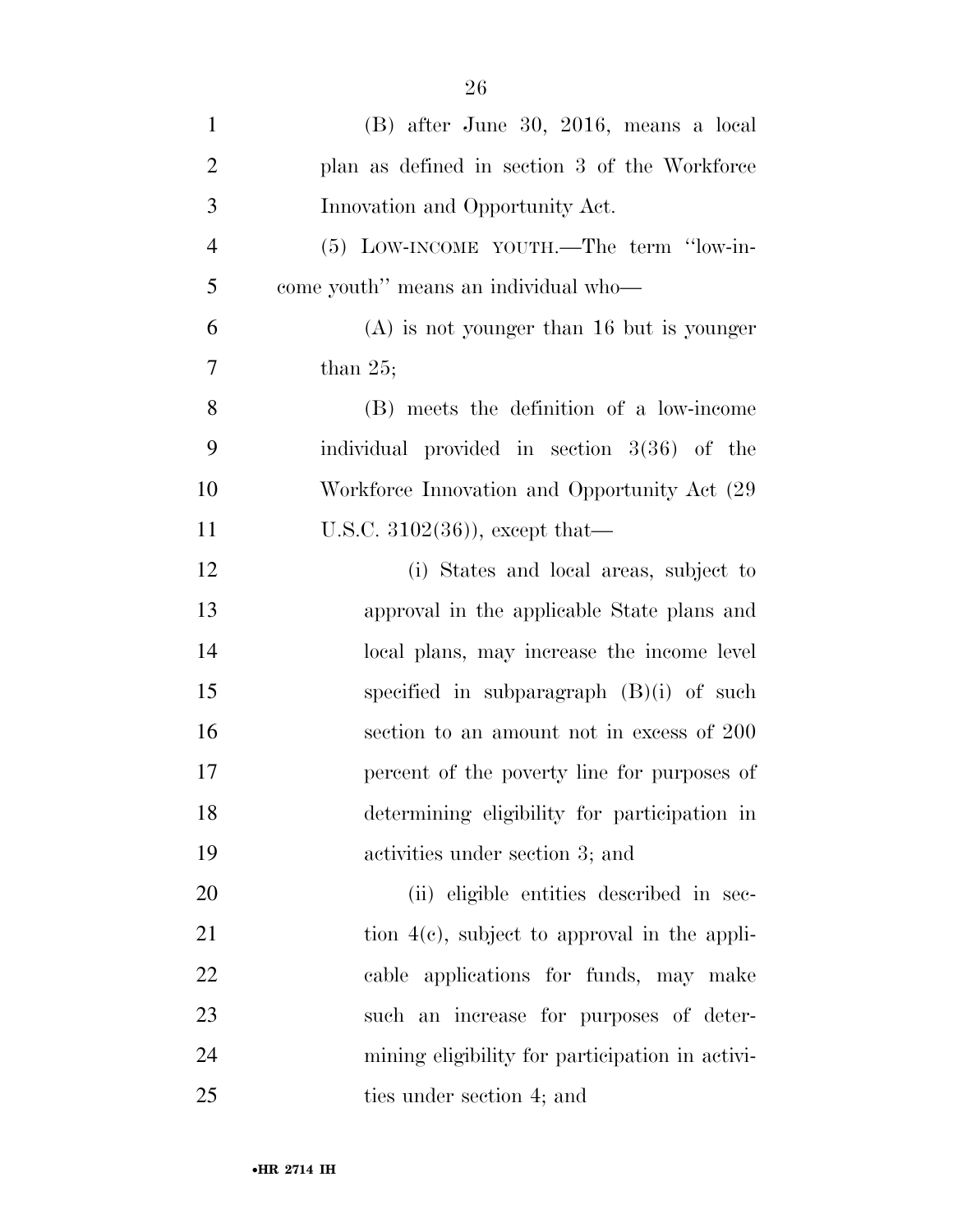| $\mathbf{1}$   | (B) after June 30, 2016, means a local        |
|----------------|-----------------------------------------------|
| 2              | plan as defined in section 3 of the Workforce |
| 3              | Innovation and Opportunity Act.               |
| $\overline{4}$ | (5) LOW-INCOME YOUTH.—The term "low-in-       |
| 5 <sup>5</sup> | come youth" means an individual who—          |
| 6              | $(A)$ is not younger than 16 but is younger   |

 $7 \t\t \text{than } 25;$ 

 (B) meets the definition of a low-income individual provided in section 3(36) of the Workforce Innovation and Opportunity Act (29 11 U.S.C. 3102(36)), except that—

 (i) States and local areas, subject to approval in the applicable State plans and local plans, may increase the income level specified in subparagraph (B)(i) of such section to an amount not in excess of 200 percent of the poverty line for purposes of determining eligibility for participation in activities under section 3; and

 (ii) eligible entities described in sec-21 tion  $4(e)$ , subject to approval in the appli- cable applications for funds, may make such an increase for purposes of deter- mining eligibility for participation in activi-ties under section 4; and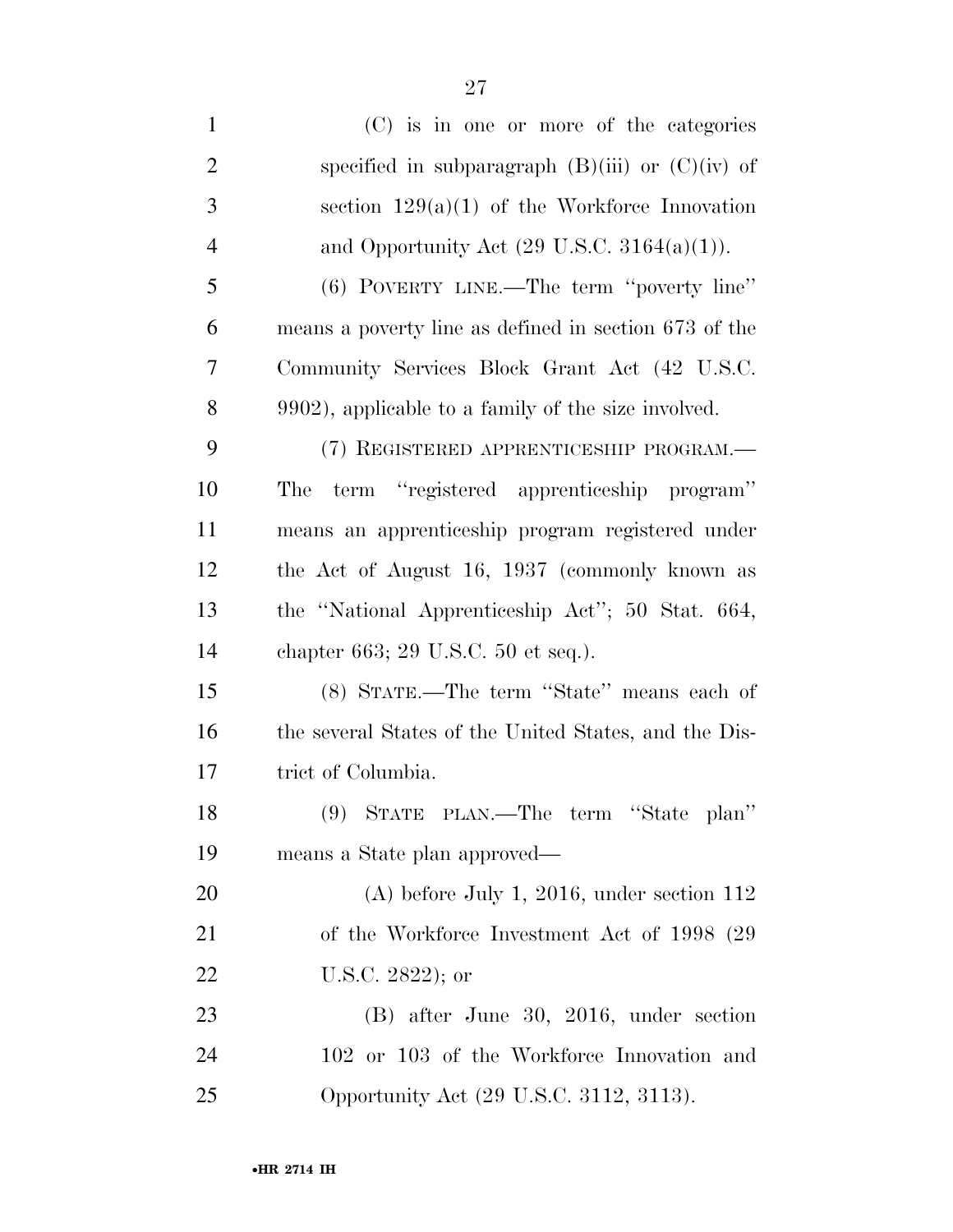| $\mathbf{1}$   | (C) is in one or more of the categories                |
|----------------|--------------------------------------------------------|
| $\overline{2}$ | specified in subparagraph $(B)(iii)$ or $(C)(iv)$ of   |
| 3              | section $129(a)(1)$ of the Workforce Innovation        |
| $\overline{4}$ | and Opportunity Act $(29 \text{ U.S.C. } 3164(a)(1)).$ |
| 5              | (6) POVERTY LINE.—The term "poverty line"              |
| 6              | means a poverty line as defined in section 673 of the  |
| 7              | Community Services Block Grant Act (42 U.S.C.          |
| 8              | 9902), applicable to a family of the size involved.    |
| 9              | (7) REGISTERED APPRENTICESHIP PROGRAM.-                |
| 10             | term "registered apprenticeship program"<br>The        |
| 11             | means an apprenticeship program registered under       |
| 12             | the Act of August 16, 1937 (commonly known as          |
| 13             | the "National Apprenticeship Act"; 50 Stat. 664,       |
| 14             | chapter 663; 29 U.S.C. 50 et seq.).                    |
| 15             | (8) STATE.—The term "State" means each of              |
| 16             | the several States of the United States, and the Dis-  |
| 17             | trict of Columbia.                                     |
| 18             | (9) STATE PLAN.—The term "State plan"                  |
| 19             | means a State plan approved—                           |
| 20             | $(A)$ before July 1, 2016, under section 112           |
| 21             | of the Workforce Investment Act of 1998 (29)           |
| 22             | U.S.C. 2822); or                                       |
| 23             | (B) after June 30, 2016, under section                 |
| 24             | 102 or 103 of the Workforce Innovation and             |
| 25             | Opportunity Act (29 U.S.C. 3112, 3113).                |